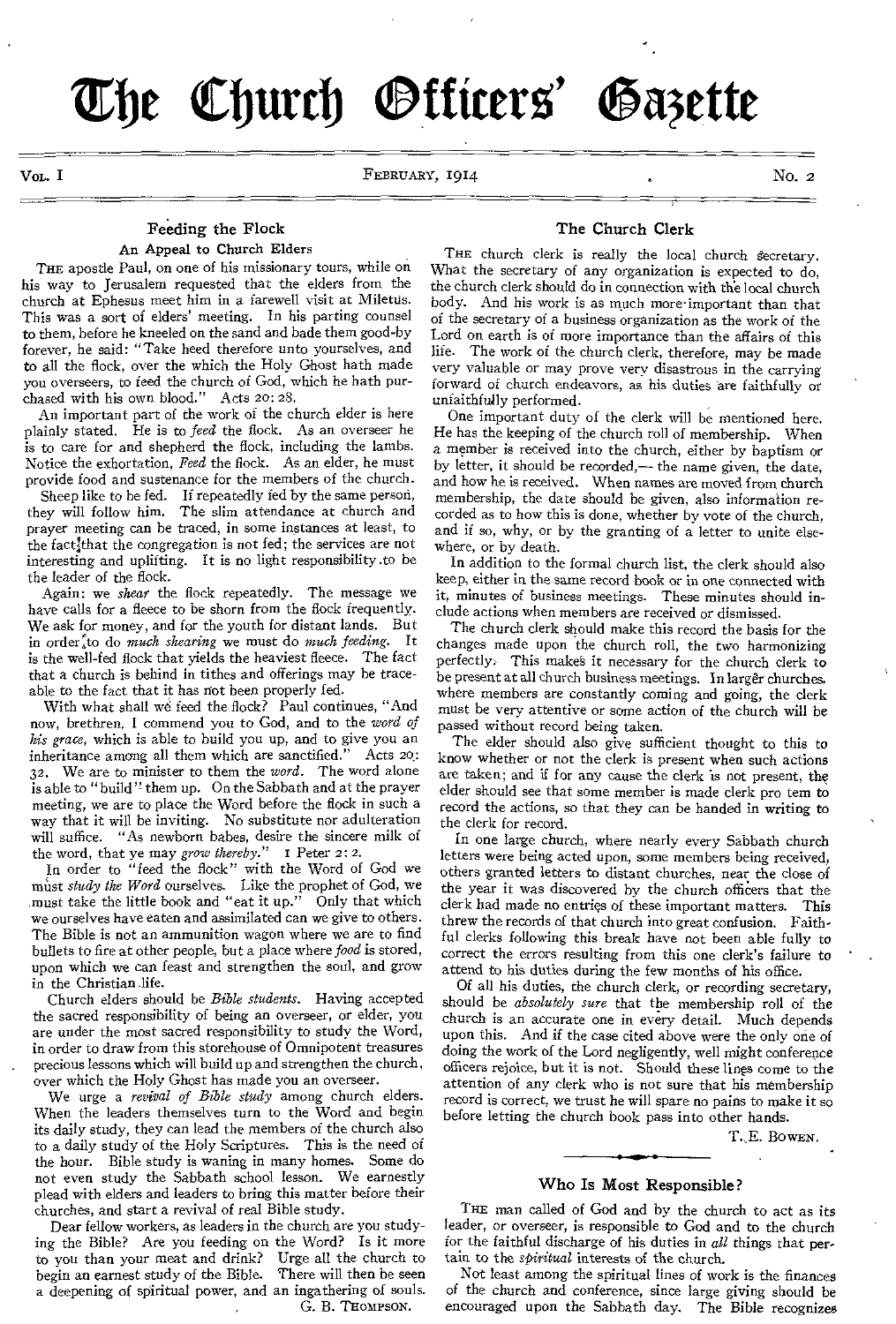**Zbe Cburcb <sup>U</sup>Mao' agtte** 

VOL. I SEBRUARY, 1914 (NOL. 2)

#### Feeding the Flock An Appeal to Church Elders

THE apostle Paul, on one of his missionary tours, while on his way to Jerusalem requested that the elders from the church at Ephesus meet him in a farewell visit at Miletus. This was a sort of elders' meeting. In his parting counsel to them, before he kneeled on the sand and bade them good-by forever, he said: "Take heed therefore unto yourselves, and to all the flock, over the which the Holy Ghost hath made you overseers, to feed the church of God, which he bath purchased with his own blood." Acts 20: 28.

An important part of the work of the church elder is here plainly stated. He is to *feed* the flock. As an overseer he is to care for and shepherd the flock, including the lambs. Notice the exhortation, *Feed* the flock. As an elder, he must provide food and sustenance for the members of the church.

Sheep like to be fed. If repeatedly fed by the same person, they will follow him. The slim attendance at church and prayer meeting can be traced, in some instances at least, to the factjthat the congregation is not fed; the services are not interesting and uplifting. It is no light responsibility .to be the leader of the flock.

Again: we *shear* the flock repeatedly. The message we have calls for a fleece to be shorn from the flock frequently. We ask for money, and for the youth for distant lands. But in order<sup>t</sup> to do *much shearing* we must do *much feeding*. It is the well-fed flock that yields the heaviest fleece. The fact that a church is behind in tithes and offerings may be traceable to the fact that it has not been properly fed.

With what shall we feed the flock? Paul continues, "And now, brethren, I commend you to God, and to the *word of his grace,* which is able to build you up, and to give you an inheritance among all them which are sanctified." Acts 20: 32. We are to minister to them the *word.* The word alone is able to "build" them up. On the Sabbath and at the prayer meeting, we are to place the Word before the flock in such a way that it will be inviting. No substitute nor adulteration will suffice. "As newborn babes, desire the sincere milk of the word, that ye may *grow thereby." I* Peter 2: 2.

In order to "feed the flock" with the Word of God we must *study the Word* ourselves. Like the prophet of God, we must take the little book and "eat it up." Only that which we ourselves have eaten and assimilated can we give to others. The Bible is not an ammunition wagon where we are to find bullets to fire at other people, but a place where *food* is stored, upon which we can feast and strengthen the soul, and grow in the Christian life.

Church elders should be *Bible students.* Having accepted the sacred responsibility of being an overseer, or elder, you are under the most sacred responsibility to study the Word, in order to draw from this storehouse of Omnipotent treasures . precious lessons which will build up and strengthen the church, over which the Holy Ghost has made you an overseer.

We urge a *revival of Bible study* among church elders. When the leaders themselves turn to the Word and begin its daily study, they can lead the members of the church also to a daily study of the Holy Scriptures. This is the need of the hour. Bible study is waning in many homes. Some do not even study the Sabbath school lesson. We earnestly plead with elders and leaders to bring this matter before their churches, and start a revival of real Bible study.

Dear fellow workers, as leaders in the church are you studying the Bible? Are you feeding on the Word? Is it more to you than your meat and drink? Urge all the church to begin an earnest study of the Bible. There will then be seen a deepening of spiritual power, and an ingathering of souls. G. B. THOMPSON.

#### The Church Clerk

THE church clerk is really the local church secretary. What the secretary of any organization is expected to do, the church clerk should do in connection with the local church body. And his work is as much more-important than that of the secretary of a business organization as the work of the Lord on earth is of more importance than the affairs of this life. The work of the church clerk, therefore, may be made very valuable or may prove very disastrous in the carrying forward of church endeavors, as his duties are faithfully or unfaithfully performed.

One important duty of the clerk will be mentioned here. He has the keeping of the church roll of membership. When a member is received into the church, either by baptism or by letter, it should be recorded,— the name given, the date, and how he is received. When names are moved from church membership, the date should be given, also information recorded as to how this is done, whether by vote of the church, and if so, why, or by the granting of a letter to unite elsewhere, or by death.

In addition to the formal church list, the clerk should also keep, either in the same record book or in one connected with it, minutes of business meetings. These minutes should include actions when members are received or dismissed.

The church clerk should make this record the basis for the changes made upon the church roll, the two harmonizing perfectly: This make§ it necessary for the church clerk to be present at all church business meetings. In larger churches. where members are constantly coming and going, the clerk must be very attentive or some action of the church will be passed without record being taken.

The elder should also give sufficient thought to this to know whether or not the clerk is present when such actions are taken; and if for any cause the clerk is not present, the elder should see that some member is made clerk pro tem to record the actions, so that they can be handed in writing to the clerk for record.

In one large church, where nearly every Sabbath church letters were being acted upon, some members being received, others granted letters to distant churches, near the close of the year it was discovered by the church officers that the clerk had made no entries of these important matters. This threw the records of that church into great confusion. Faithful clerks following this break have not been able fully to correct the errors resulting from this one clerk's failure to attend to his duties during the few months of his office.

Of all his duties, the church clerk, or recording secretary, should be *absolutely sure* that the membership roll of the church is an accurate one in every detail. Much depends upon this. And if the case cited above were the only one of doing the work of the Lord negligently, well might conference officers rejoice, but it is not. Should these lines come to the attention of any clerk who is not sure that his membership record is correct, we trust he will spare no pains to make it so before letting the church book pass into other hands.

T.,E. BOWEN.

#### Who Is Most Responsible?

THE man called of God and by the church to act as its leader, or overseer, is responsible to God and to the church for the faithful discharge of his duties in *all* things that pertain to the *spiritual* interests of the church.

Not least among the spiritual lines of work is the finances of the church and conference, since large giving should be encouraged upon the Sabbath day. The Bible recognizes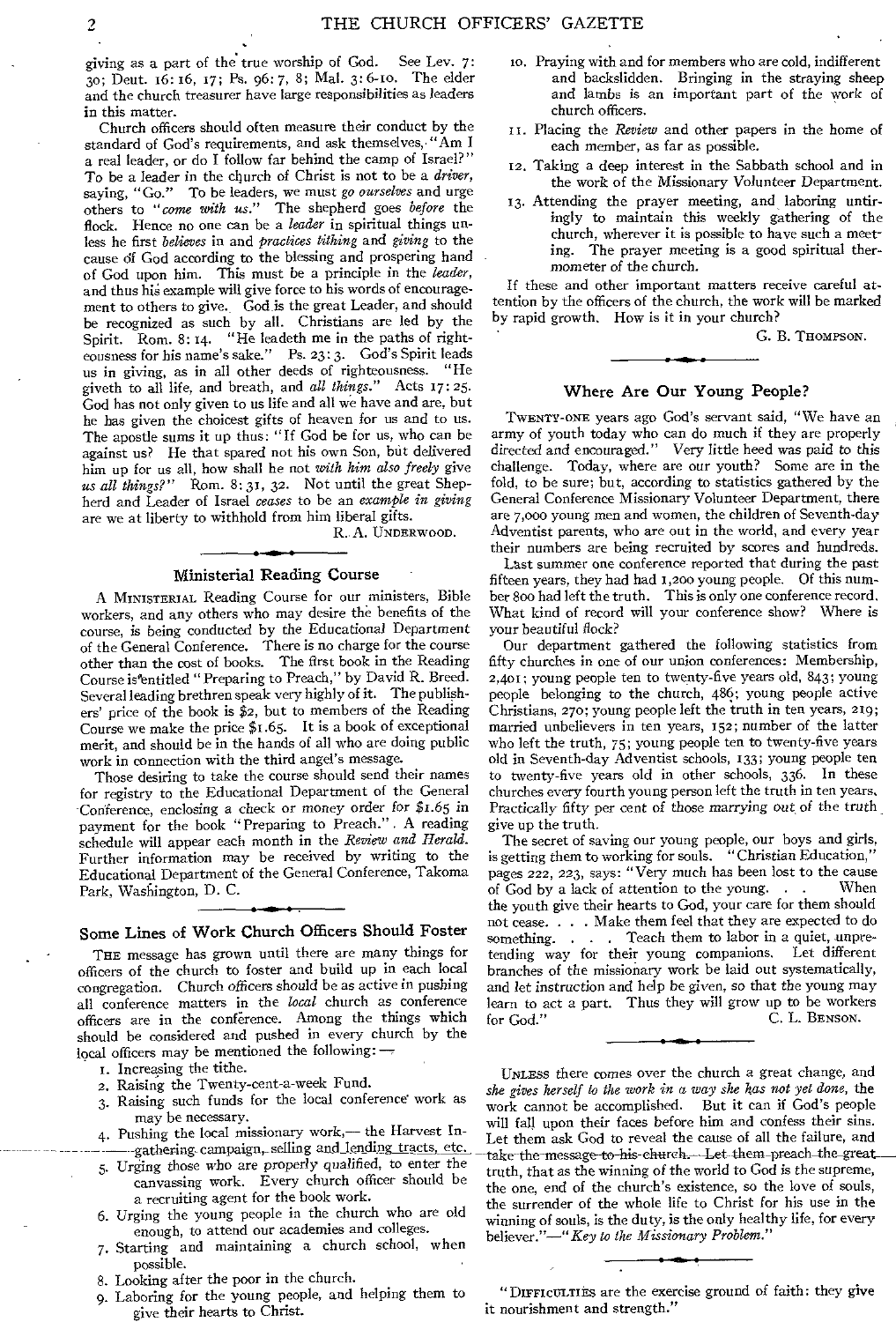giving as a part of the true worship of God. See Lev. 7: 3o; Deut. 16: 16, 17; Ps. 96:7, 8; Mal. 3:6-1o. The elder and the church treasurer have large responsibilities as leaders in this matter.

•

Church officers should often measure their conduct by the standard of God's requirements, and ask themselves,• "Am I a real leader, or do I follow far behind the camp of Israel?" To be a leader in the church of Christ is not to be a *driver,*  saying, "Go." To be leaders, we must *go ourselves* and urge others to *"come with us."* The shepherd goes *before* the flock. Hence no one can be a *leader* in spiritual things unless he first *believes* in and *practices tithing* and *giving* to the cause df God according to the blessing and prospering hand of God upon him. This must be a principle in the *leader,*  and thus his example will give force to his words of encouragement to others to give. God is the great Leader, and should be recognized as such by all. Christians are led by the Spirit. Rom. 8:14. "He leadeth me in the paths of righteousness for his name's sake." Ps. 23:3. God's Spirit leads<br>us in giving as in all other deeds of righteousness. "He us in giving, as in all other deeds of righteousness. giveth to all life, and breath, and *all things."* Acts 17: 25. God has not only given to us life and all we have and are, but he has given the choicest gifts of heaven for us and to us. The apostle sums it up thus: "If God be for us, who can be against us? He that spared not his own Son, but delivered him up for *us* all, how shall he not *with him also freely* give us all things?" Rom. 8:31, 32. Not until the great Shepherd and Leader of Israel *ceases* to be an *example in giving*  are we at liberty to withhold from him liberal gifts.

R. A. UNDERWOOD.

#### Ministerial Reading Course

A MINISTERIAL Reading Course for our ninisters, Bible workers, and any others who may desire the benefits of the course, is being conducted by the Educational Department of the General Conference. There is no charge for the course other than the cost of books. The first book in the Reading Course is entitled "Preparing to Preach," by David R. Breed. Several leading brethren speak very highly of it. The publishers' price of the book is \$2, but to members of the Reading Course we make the price \$1.65. It is a book of exceptional merit, and should be in the hands of all who are doing public work in connection with the third angel's message.

Those desiring to take the course should send their names for registry to the Educational Department of the General Conference, enclosing a check or money order *for* \$1.65 *in*  payment for the book "Preparing to Preach.". A reading schedule will appear each month in the *Review and Herald.*  Further information may be received by writing to the Educational Department of the General Conference, Takoma Park, Washington, D. C.

#### Some Lines of Work Church Officers Should Foster

THE message has grown until there are many things for officers of the church to foster and build up in each local congregation. Church officers should be as *active* in pushing all conference matters in the *local* church as conference officers are in the conference. Among the things which should be considered and pushed in every church by the local officers may be mentioned the following: —

- I. Increasing the tithe.
- 2. Raising the Twenty-cent-a-week Fund.
- 3. Raising such funds for the local conference work as may be necessary.
- 4. Pushing the local missionary work,— the Harvest In- -gathering-campaign,- selling and lending tracts, etc.
- *5. Urging* those who are properly qualified, to enter the canvassing work. Every church officer should be a recruiting agent for the book work.
- 6. Urging the young people in the church who are old enough, to attend our academies and colleges.
- 7. Starting and maintaining a church school, when possible.
- 8. Looking after the poor in the church.
- 9. Laboring for the young people, and helping them to give their hearts to Christ.
- to. Praying with and for members who are cold, indifferent and backslidden. Bringing in the straying sheep and lambs is an important part of the work of church officers.
- II. Placing the *Review* and other papers in the home of each member, as far as possible.
- 12. Taking a deep interest in the Sabbath school and in the work of the Missionary Volunteer Department.
- 13. Attending the prayer meeting, and laboring untiringly to maintain this weekly gathering of the church, wherever it is possible to have such a meeting. The prayer meeting is a good spiritual thermometer of the church.

If these and other important matters receive careful attention by the officers of the church, the work will be marked by rapid growth. How is it in your church?

G. B. THOMPSON.

#### Where Are Our Young People?

TWENTY-ONE years ago God's servant said, "We have an army of youth today who can do much if they are properly directed and encouraged." Very little heed was paid to this challenge. Today, where are our youth? Some are in the fold, to be sure; but, according to statistics gathered by the General Conference Missionary Volunteer Department, there are 7,000 young men and women, the children of Seventh-day Adventist parents, who are out in the world, and every year their numbers are being recruited by scores and hundreds.

Last summer one conference reported that during the past fifteen years, they had had 1,200 young people. Of this number 800 had left the truth. This is only one conference record. What kind of record will your conference show? Where is your beautiful flock?

Our department gathered the following statistics from fifty churches in one of our union conferences: Membership, 2,401; young people ten to twenty-five years old, 843; young people belonging to the church, 486; young people active Christians, 27o; young people left the truth in ten years, 219; married unbelievers in ten years, 152; number of the latter who left the truth, 75; young people ten to twenty-five years old in Seventh-day Adventist schools, 133; young people ten to twenty-five years old in other schools, 336. In these churches every fourth young person left the truth in ten years, Practically fifty per cent of those *marrying out of* the truth . give up the truth.

The secret of saving our young people, our boys and girls, is getting them to working for souls. "Christian Education," pages 222, 223, says: "Very much has been lost to the cause of God by a lack of attention to the young.  $\ldots$ the youth give their hearts to God, your care for them should not cease. . . . Make them feel that they are expected to do something. . . . Teach them to labor in a quiet, unpretending way for their young companions. Let different branches of the missionary work be laid out systematically, and let *instruction* and help be *given, so* that the *young* may learn to act a part. Thus they will grow up to be workers for God." C. L. BENSON. C. L. BENSON.

UNLESS there comes over the church a great change, and *she gives herself to the work in a way she has not yet done,* the work cannot be accomplished. But it can if God's people will fall upon their faces before him and confess their sins. Let them ask God to reveal the cause of all the failure, and take the message to-his-church.--Let-them-preach-the-great truth, that as the winning of the world to God is the supreme, the one, end of the church's existence, so the love of souls, the surrender of the whole life to Christ for his use in the winning of souls, is the duty, is the only healthy life, for every believer."—"Key *to the Missionary Problem."* 

"DIFFICULTIES are the exercise ground of faith: they give it nourishment and strength."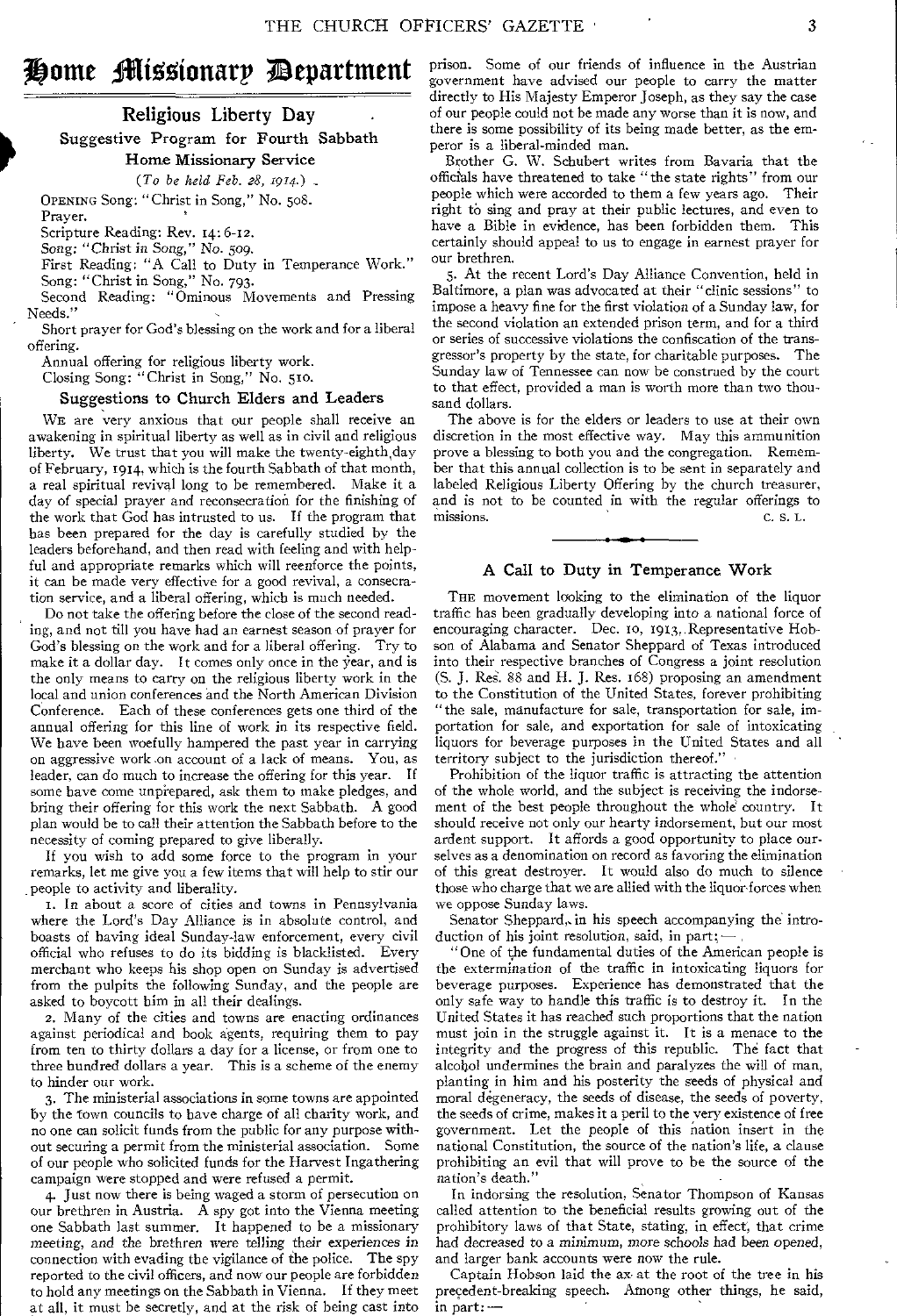# Home Missionary Department

Religious Liberty Day . Suggestive Program for Fourth Sabbath Home Missionary Service *(To be held Feb. 28, 1914.)* -

OPENING Song: "Christ in Song," No. 508. Prayer.

Scripture Reading: Rev. 14: 6-12.

*Song: "Christ in Song," No.* 509.

First Reading: "A Call to Duty in Temperance Work." Song: "Christ in Song," No. 793.

Second Reading: "Ominous Movements and Pressing Needs."

Short prayer for God's blessing on the work and for a liberal offering.

Annual offering for religious liberty work.

Closing Song: "Christ in Song," No. 510.

#### Suggestions to Church Elders and Leaders

WE are very anxious that our people shall receive an awakening in spiritual liberty as well as in civil and religious liberty. We trust that you will make the twenty-eighth,day of February, 1914, which is the fourth Sabbath of that month, a real spiritual revival long to be remembered. Make it a day of special prayer and reconsecration for the finishing of the work that God has intrusted to us. If the program that has been prepared for the day is carefully studied by the leaders beforehand, and then read with feeling and with helpful and appropriate remarks which will reenforce the points, it can be made very effective for a good revival, a consecration service, and a liberal offering, which is much needed.

Do not take the offering before the close of the second reading, and not till you have had an earnest season of prayer for God's blessing on the work and for a liberal offering. Try to make it a dollar day. It comes only once in the year, and is the only means to carry on the religious liberty work in the local and union conferences and the North American Division Conference. Each of these conferences gets one third of the annual offering for this line of work in its respective field. We have been woefully hampered the past year in carrying on aggressive work on account of a lack of means. You, as leader, can do much to increase the offering for this year. If some have come unprepared, ask them to make pledges, and bring their offering for this work the next Sabbath. A good plan would be to call their attention the Sabbath before to the necessity of coming prepared to give liberally.

If you wish to add some force to the program in your remarks, let me give you a few items that will help to stir our people to activity and liberality.

r. In about a score of cities and towns in Pennsylvania where the Lord's Day Alliance is in absolute control, and boasts of having ideal Sunday-law enforcement, every civil official who refuses to do its bidding is blacklisted. Every merchant who keeps his shop open on Sunday is advertised from the pulpits the following Sunday, and the people are asked to boycott him in all their dealings.

2. Many of the cities and towns are enacting ordinances against periodical and book agents, requiring them to pay from ten to thirty dollars a day for a license, or from one to three hundred dollars a year. This is a scheme of the enemy to hinder our work.

3. The ministerial associations in some towns are appointed by the town councils to have charge of all charity work, and no one can solicit funds from the public for any purpose without securing a permit from the ministerial association. Some of our people who solicited funds for the Harvest Ingathering campaign were stopped and were refused a permit.

4. Just now there is being waged a storm of persecution on our brethren in Austria. A spy got into the Vienna meeting one Sabbath last summer. It happened to be a missionary *meeting, and* the brethren were telling their experiences in connection with evading the vigilance of the police. The spy reported to the civil officers, and now our people are forbidden to hold any meetings on the Sabbath in Vienna. If they meet at all, it must be secretly, and at the risk of being cast into

prison. Some of our friends of influence in the Austrian government have advised our people to carry the matter directly to His Majesty Emperor Joseph, as they say the case of our people could not be made any worse than it is now, and there is some possibility of its being made better, as the emperor is a liberal-minded man.

Brother G. W. Schubert writes from Bavaria that the officials have threatened to take "the state rights" from our people which were accorded to them a few years ago. Their right to sing and pray at their public lectures, and even to have a Bible in evidence, has been forbidden them. This certainly should appeal to us to engage in earnest prayer for our brethren.

5. At the recent Lord's Day Alliance Convention, held in Baltimore, a plan was advocated at their "clinic sessions" to impose a heavy fine for the first violation of a Sunday law, for the second violation an extended prison term, and for a third or series of successive violations the confiscation of the transgressor's property by the state, for charitable purposes. The Sunday law of Tennessee can now be construed by the court to that effect, provided a man is worth more than two thousand dollars.

The above is for the elders or leaders to use at their own discretion in the most effective way. May this ammunition prove a blessing to both you and the congregation. Remember that this annual collection is to be sent in separately and labeled Religious Liberty Offering by the church treasurer, and is not to be counted in with the regular offerings to missions. C. S. L.

#### A Call to Duty in Temperance Work

THE movement looking to the elimination of the liquor traffic has been gradually developing into a national force of encouraging character. Dec. 10, 1913, Representative Hobson of Alabama and Senator Sheppard of Texas introduced into their respective branches of Congress a joint resolution (S. J. Res. 88 and H. J. Res. 168) proposing an amendment to the Constitution of the United States, forever prohibiting "the sale, manufacture for sale, transportation for sale, importation for sale, and exportation for sale of intoxicating liquors for beverage purposes in the United States and all territory subject to the jurisdiction thereof."

Prohibition of the liquor traffic is attracting the attention of the whole world, and the subject is receiving the indorsement of the best people throughout the whole country. It should receive not only our hearty indorsement, but our most ardent support. It affords a good opportunity to place ourselves as a denomination on record as favoring the elimination of this great destroyer. It would also do much to silence those who charge that we are allied with the liquor forces when we oppose Sunday laws.

Senator Sheppard, in his speech accompanying the introduction of his joint resolution, said, in part;-

" One of the fundamental duties of the American people is the extermination of the traffic in intoxicating liquors for beverage purposes. Experience has demonstrated that the only safe way to handle this traffic is to destroy it. In the United States it has reached such proportions that the nation must join in the struggle against it. It is a menace to the integrity and the progress of this republic. The fact that alcohol undermines the brain and paralyzes the will of man, planting in him and his posterity the seeds of physical and moral degeneracy, the seeds of disease, the seeds of poverty, the seeds of crime, makes it a peril to the very existence of free government. Let the people of this nation insert in the national Constitution, the source of the nation's life, a clause prohibiting an evil that will prove to be the source of the nation's death."

In indorsing the resolution, Senator Thompson of Kansas called attention to the beneficial results growing out of the prohibitory laws of that State, stating, in effect, that crime had decreased to a *minimum,* more schools had been opened, and larger bank accounts were now the rule.

Captain Hobson laid the ax at the root of the tree in his precedent-breaking speech. Among other things, he said, in part: —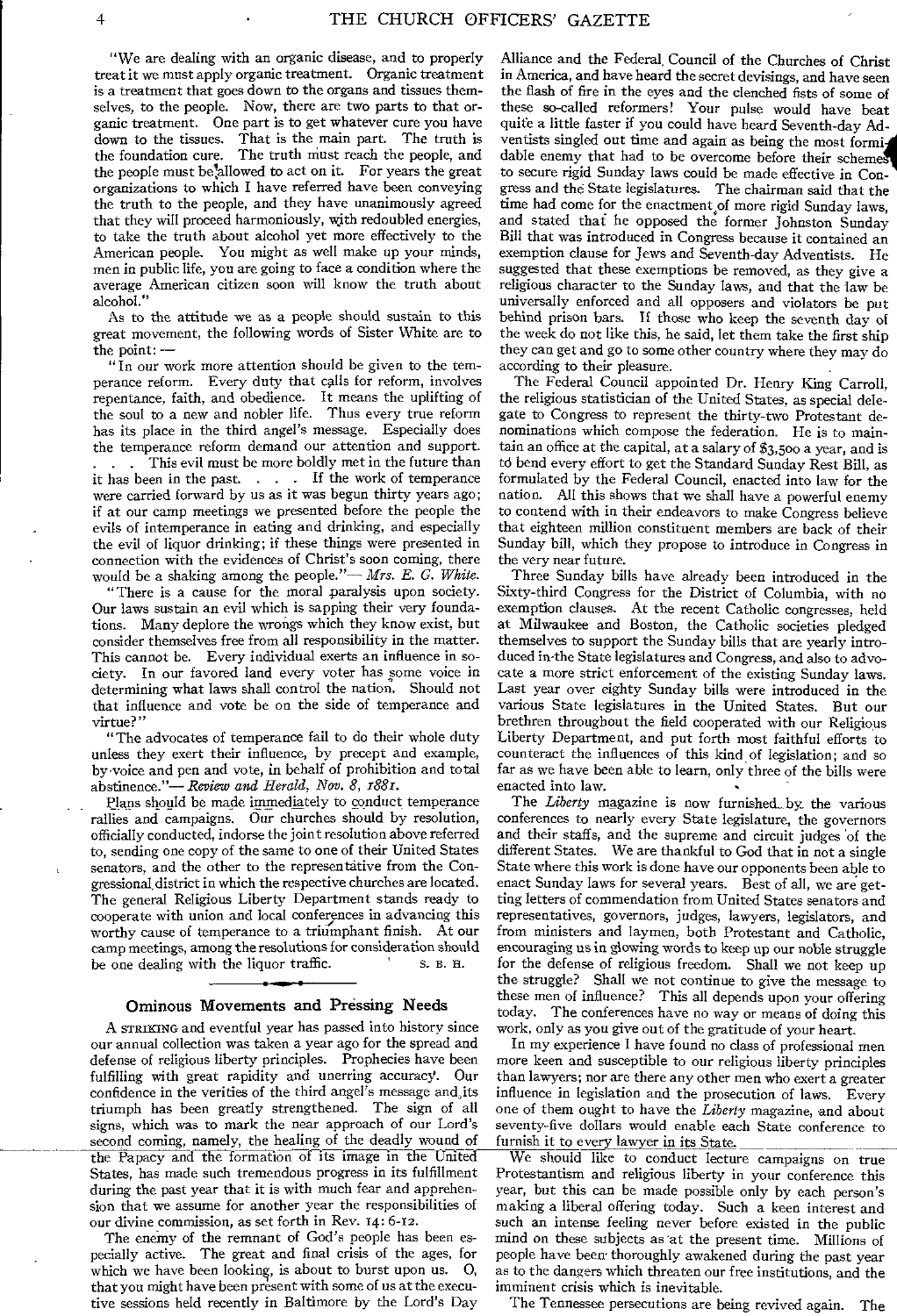"We are dealing with an organic disease, and to properly treat it we must apply organic treatment. Organic treatment is a treatment that goes down to the organs and tissues themselves, to the people. Now, there are two parts to that organic treatment. One part is to get whatever cure you have down to the tissues. That is the main part. The truth is the foundation cure. The truth must reach the people, and the people must be allowed to act on it. For years the great organizations to which I have referred have been conveying the truth to the people, and they have unanimously agreed that they will proceed harmoniously, with redoubled energies, to take the truth about alcohol yet more effectively to the American people. You might as well make up your minds, men in public life, you are going to face a condition where the average American citizen soon will know the truth about alcohol."

As to the attitude we as a people should sustain to this great movement, the following words of Sister White are to the point: —

" In our work more attention should be given to the temperance reform. Every duty that calls for reform, involves repentance, faith, and obedience. It means the uplifting of the soul to a new and nobler life. Thus every true reform has its place in the third angel's message. Especially does the temperance reform demand our attention and support. This evil must be more boldly met in the future than it has been in the past. . . . If the work of temperance were carried forward by us as it was begun thirty years ago; if at our camp meetings we presented before the people the evils of intemperance in eating and drinking, and especially the evil of liquor drinking; if these things were presented in connection with the evidences of Christ's soon coming, there would be a shaking among the people."— *Mrs. E. G. White.* 

"There is a cause for the moral paralysis upon society. Our laws sustain an evil which is sapping their very foundations. Many deplore the wrongs which they know exist, but consider themselves free from all responsibility in the matter. This cannot be. Every individual exerts an influence in society. In our favored land every voter has some voice in determining what laws shall control the nation. Should not that influence and vote be on the side of temperance and virtue?"

"The advocates of temperance fail to do their whole duty unless they exert their influence, by precept and example, by voice and pen and vote, in behalf of prohibition and total abstinence."— *Review and Herald, Nov. 8, x882.* 

Plans should be made immediately to conduct temperance rallies and campaigns. Our churches should by resolution, officially conducted, indorse the joint resolution above referred to, sending one copy of the same to one of their United States senators, and the other to the representative from the Congressional, district in which the respective churches are located. The general Religious Liberty Department stands ready to cooperate with union and local conferences in advancing this worthy cause of temperance to a triumphant finish. At our camp meetings, among the resolutions for consideration should be one dealing with the liquor traffic. S. B. H.

#### Ominous Movements and Pressing Needs

A STRIKING and eventful year has passed into history since our annual collection was taken a year ago for the spread and defense of religious liberty principles. Prophecies have been fulfilling with great rapidity and unerring accuracy. Our confidence in the verities of the third angel's message and,its triumph has been greatly strengthened. The sign of all signs, which was to mark the near approach of our Lord's second coming, namely, the healing of the deadly wound of the Papacy and the formation of—its image in the United States, has made such tremendous progress in its fulfillment during the past year that it is with much fear and apprehension that we assume for another year the responsibilities of our divine commission, as set forth in Rev. 14: 6-12.

The enemy of the remnant of God's people has been especially active. The great and final crisis of the ages, for which we have been looking, is about to burst upon us. 0, that you might have been present with some of us at the executive sessions held recently in Baltimore by the Lord's Day

Alliance and the Federal, Council of the Churches of Christ in America, and have heard the secret devisings, and have seen the flash of fire in the eyes and the clenched fists of some of these so-called reformers! Your pulse would have beat quite a little faster if you could have heard Seventh-day Adventists singled out time and again as being the most formi dable enemy that had to be overcome before their schemes to secure rigid Sunday laws could be made effective in Congress and the State legislatures. The chairman said that the time had come for the enactment of more rigid Sunday laws, and stated thai he opposed the former Johnston Sunday Bill that was introduced in Congress because it contained an exemption clause for Jews and Seventh-day Adventists. He suggested that these exemptions be removed, as they give a religious character to the Sunday laws, and that the law be universally enforced and all opposers and violators be put behind prison bars. If those who keep the seventh day of the week do not like this, he said, let them take the first ship they can get and go to some other country where they may do according to their pleasure.

The Federal Council appointed Dr. Henry King Carroll, the religious statistician of the United States, as special delegate to Congress to represent the thirty-two Protestant denominations which compose the federation. He is to maintain an office at the capital, at a salary of \$3,500 a year, and is td bend every effort to get the Standard Sunday Rest Bill, as formulated by the Federal Council, enacted into law for the nation. All this shows that we shall have a powerful enemy to contend with in their endeavors to make Congress believe that eighteen million constituent members are back of their Sunday bill, which they propose to introduce in Congress in the very near future.

Three Sunday bills have already been introduced in the Sixty-third Congress for the District of Columbia, with no exemption clauses. At the recent Catholic congresses, held at Milwaukee and Boston, the Catholic societies pledged themselves to support the Sunday bills that are yearly introduced in.the State legislatures and Congress, and also to advocate a more strict enforcement of the existing Sunday laws. Last year over eighty Sunday bills were introduced in the various State legislatures in the United States. But our brethren throughout the field cooperated with our Religious Liberty Department, and put forth most faithful efforts to counteract the influences of this kind of legislation; and so far as we have been able to learn, only three of the bills were enacted into law.

The *Liberty* magazine is now furnished\_ by. the various conferences to nearly every State legislature, the governors and their staffs, and the supreme and circuit judges of the different States. We are thankful to God that in not a single State where this work is done have our opponents been able to enact Sunday laws for several years. Best of all, we are getting letters of commendation from United States senators and representatives, governors, judges, lawyers, legislators, and from ministers and laymen, both Protestant and Catholic, encouraging us in glowing words to keep up our noble struggle for the defense of religious freedom. Shall we not keep up the struggle? Shall we not continue to give the message to these men of influence? This all depends upon your offering today. The conferences have no way or means of doing this work, only as you give out of the gratitude of your heart.

In my experience I have found no class of professional men more keen and susceptible to our religious liberty principles than lawyers; nor are there any other men who exert a greater influence in legislation and the prosecution of laws. Every one of them ought to have the *Liberty* magazine, and about seventy-five dollars would enable each State conference to furnish it to every lawyer in its State.

We should like to conduct lecture campaigns on true Protestantism and religious liberty in your conference this year, but this can be made possible only by each person's making a liberal offering today. Such a keen interest and such an intense feeling never before existed in the public mind on these subjects as at the present time. Millions of people have been thoroughly awakened during the past year as to the dangers which threaten our free institutions, and the imminent crisis which is inevitable.

The Tennessee persecutions are being revived again. The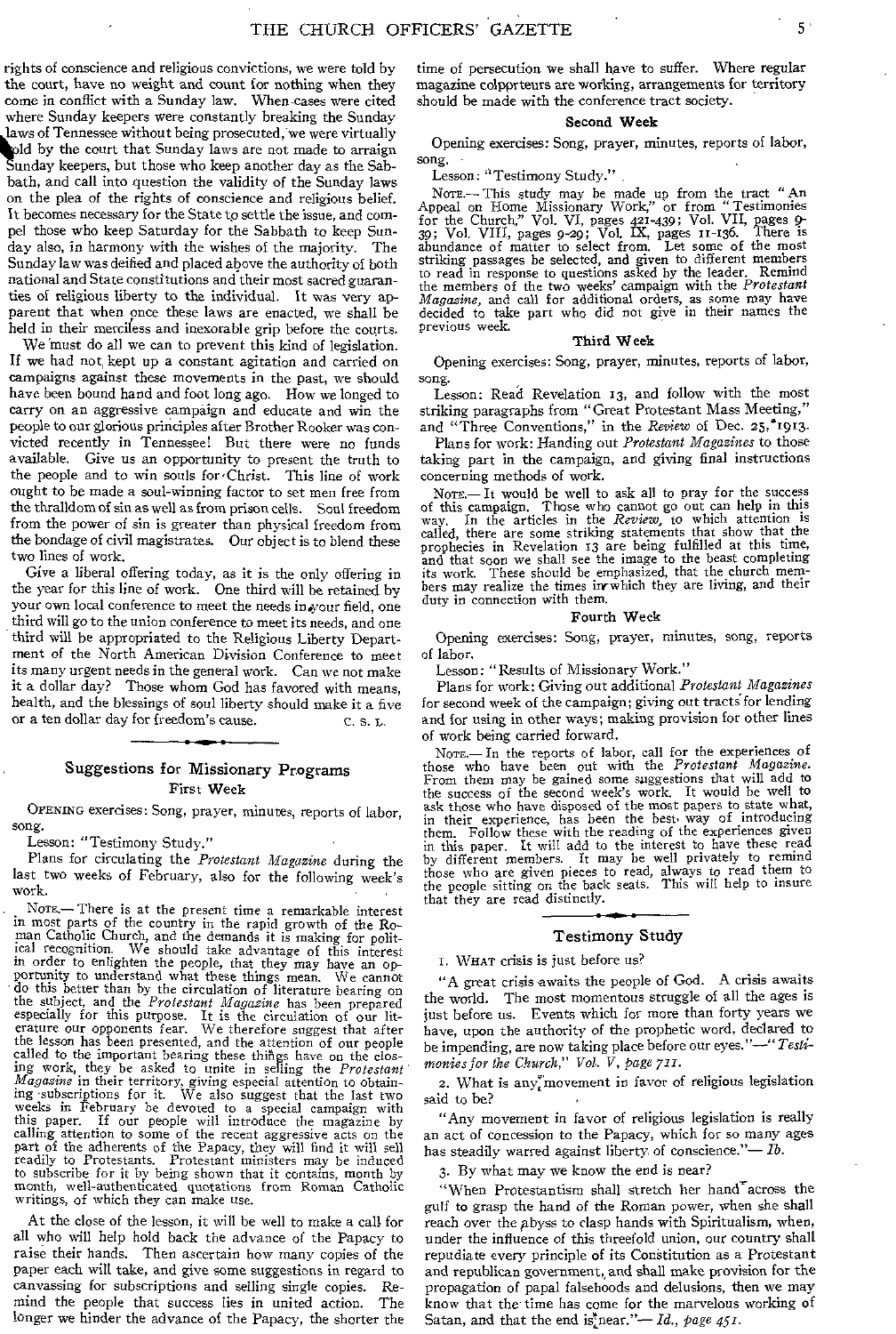rights of conscience and religious convictions, we were told by the court, have no weight and count for nothing when they come in conflict with a Sunday law. When cases were cited where Sunday keepers were constantly breaking the Sunday old by the court that Sunday laws are not made to arraigh.<br>Sunday keepers, but those who keep another day as the Sablaws of Tennessee without being prosecuted, we were virtually old by the court that Sunday laws are not made to arraign bath, and call into question the validity of the Sunday laws on the plea of the rights of conscience and religious belief. It becomes necessary for the State to settle the issue, and compel those who keep Saturday for the Sabbath to keep Sunday also, in harmony with the wishes of the majority. The Sunday law was deified and placed above the authority of both national and State constitutions and their most sacred guaranties of religious liberty to the individual. It was very apparent that when once these laws are enacted, we shall be held in their merciless and inexorable grip before the courts.

We must do all we can to prevent this kind of legislation. If we had not, kept up a constant agitation and carried on campaigns against these movements in the past, we should have been bound hand and foot long ago. How we longed to carry on an aggressive campaign and educate and win the people to our glorious principles after Brother Rooker was convicted recently in Tennessee! But there were no funds available. Give us an opportunity to present the truth to the people and to win souls for 'Christ. This line of work ought to be made a soul-winning factor to set men free from the thralldom of sin as well as from prison cells. Soul freedom from the power of sin is greater than physical freedom from the bondage of civil magistrates. Our object is to blend these two lines of work.

Give a liberal offering today, as it is the only offering in the year for this line of work. One third will be retained by your own local conference to meet the needs in your field, one third will go to the union conference to meet its needs, and one third will be appropriated to the Religious Liberty Department of the North American Division Conference to meet its many urgent needs in the general work. Can we not make Those whom God has favored with means, health, and the blessings of soul liberty should make it a five or a ten dollar day for freedom's cause.  $C. S. L.$ 

#### Suggestions for Missionary Programs First Week

OPENING exercises: Song, prayer, minutes, reports of labor, song,

Lesson: "Testimony Study."

Plans for circulating the *Protestant Magazine* during the last two weeks of February, also for the following week's work.

, NOTE.— There is at the present time a remarkable interest in most parts of the country in the rapid growth of the Roman Catholic Church, and the demands it is making for polit-ical recognition. We should take advantage of this interest in order to enlighten the people, that they may have an opportunity to understand what these things mean. We cannot do this better than by the circulation of literature bearing on the subject, and the *Protestant Magazine* has been prepared especially for this purpose. It is the circulation of our lit-erature our opponents fear. We therefore suggest that after the lesson has been presented, and the attention of our people<br>called to the important bearing these things have on the clos-<br>ing work, they be asked to unite in selling the *Protestant*<br>*Magasine* in their territory, givi weeks in February be devoted to a special campaign with this paper. If our people will introduce the magazine by calling attention to some of the recent aggressive acts on the part of the adherents of the Papacy, they will find it will sell readily to Protestants. Protestant ministers may be induced to subscribe for it by being shown that it contains, month by month, well-authenticated quotations from Roman Catholic writings, of which they can make use.

At the close of the lesson, it will be well to make a call for all who will help hold back the advance of the Papacy to raise their hands. Then ascertain how many copies of the paper each will take, and give some suggestions in regard to canvassing for subscriptions and selling single copies. Remind the people that success lies in united action. The longer we hinder the advance of the Papacy, the shorter the

time of persecution we shall have to suffer. Where regular magazine colpprteurs are working, arrangements for territory should be made with the conference tract society.

#### Second Week

Opening exercises• Song, prayer, minutes, reports of labor, song.

Lesson: "Testimony Study."

Note.—This study may be made up from the tract "An Appeal on Home Missionary Work," or from " Testimonies for the Church," Vol. VI, pages 421-439; Vol. VII, pages 9- 39; Vol. VIII, pages 9-29; Vol. IX, pages n-i36. There is abundance of matter to select from. Let some of the most striking passages be selected, and given to different members to read in response to questions asked by the leader. Remind the members of the two weeks' campaign with the *Protestant Magazine,* and call for additional orders, as some may have decided to take part who did not give in their names the previous week.

#### Third Week

Opening exercises: Song, prayer, minutes, reports of labor, song.

Lesson: Read Revelation 13, and follow with the most striking paragraphs from "Great Protestant Mass Meeting," and "Three Conventions," in the *Review* of Dec. 25,<sup>\*</sup>1913.

Plans for work: Handing out *Protestant Magazines* to those taking part in the campaign, and giving final instructions concerning methods of work.

Nore.—It would be well to ask all to pray for the success of this campaign. Those who cannot go out can help in this way. In the articles in the *Review,* to which attention is called, there are some striking statements that show that the prophecies in Revelation 13 are being fulfilled at this time, and that soon we shall see the image to the beast completing its work. These should be emphasized, that the church members may realize the times in which they are living, and their duty in connection with them.

#### Fourth Week

Opening exercises: Song, prayer, minutes, song, reports of labor.

Lesson: "Results of Missionary Work."

Plans for work: Giving out additional *Protestant Magazines*  for second week of the campaign; giving out tracts'for lending and for using in other ways; making provision for other lines of work being carried forward.

Nore.—In the reports of labor, call for the experiences of those who have been out with the *Protestant Magazine*.<br>From them may be gained some suggestions that will add to the success of the second week's work. It would be well to ask those who have disposed of the most papers to state what, in their experience, has been the best. way of introducing them. Follow these with the reading of the experiences given in this paper. It will add to the interest to have these read by different members. It may be well privately to remind those who are given pieces to read, always to read them to the people sitting on the back seats. This will help to insure that they are read distinctly.

#### Testimony Study

I. WHAT crisis is just before us?

"A great crisis awaits the people of God. A crisis awaits the world. The most momentous struggle of all the ages is just before us. Events which for more than forty years we have, upon the authority of the prophetic word, declared to be impending, are now taking place before our eyes."—" *Testimonies for the Church," Vol. V, page 711.* 

2. What is any movement in favor of religious legislation said to be?

"Any movement in favor of religious legislation is really an act of concession to the Papacy, which for so many ages has steadily warred against liberty of conscience."- $Ib$ .

3. By what may we know the end is near?

"When Protestantism shall stretch her hand $^{\star}$ across the gulf to grasp the hand of the Roman power, when she shall reach over the abyss to clasp hands with Spiritualism, when, under the influence of this threefold union, our country shall repudiate every principle of its Constitution as a Protestant and republican government,, and shall make provision for the propagation of papal falsehoods and delusions, then we may know that the time has come for the marvelous working of Satan, and that the end is near."—*Id.*, page  $45I$ .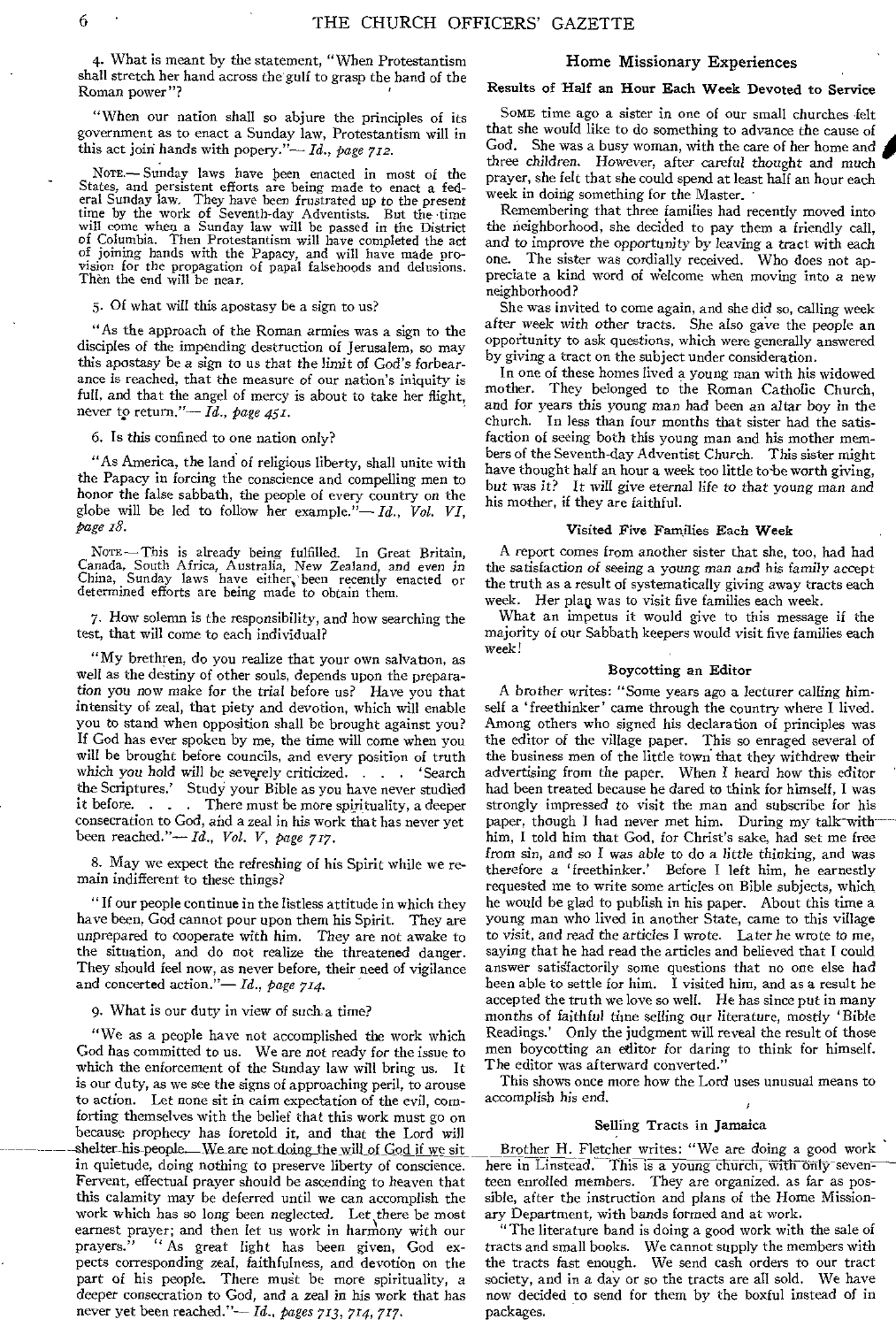4. What is meant by the statement, "When Protestantism shall stretch her hand across the gulf to grasp the hand of the Roman power"?

"When our nation shall so abjure the principles of its government as to enact a Sunday law, Protestantism will in this act join hands with popery."— *Id., page 712.* 

NOTE.— Sunday laws have been enacted in most of the States, and persistent efforts are being made to enact a fed-eral Sunday law. They have been frustrated up to the present time by the work of Seventh-day Adventists. But the time will come when a Sunday law will be passed in the District of Columbia. Then Protestantism will have completed the act of joining hands with the Papacy, and will have made provision for the propagation of papal falsehoods and delusions. Then the end will be near.

5. Of what will this apostasy be a sign to us?

"As the approach of the Roman armies was a sign to the disciples of the impending destruction of Jerusalem, so may this apostasy be a sign to us that the limit of God's forbearance is reached, that the measure of our nation's iniquity is full, and that the angel of mercy is about to take her flight, never tp return."— *Id., page 451.* 

6. Is this confined to one nation only?

"As America, the land of religious liberty, shall unite with the Papacy in forcing the conscience and compelling men to honor the false sabbath, the people of every country on the globe will be led to follow her example."— *Id., Vol. VI, page z8.* 

NOTE — This is already being fulfilled. In Great Britain, Canada, South Africa, Australia, New Zealand, and even *in*  China, Sunday laws have either, been recently enacted or determined efforts are being made to obtain them.

7. How solemn is the responsibility, and how searching the test, that will come to each individual?

"My brethren, do you realize that your own salvation, as well as the destiny of other souls, depends upon the preparation you now make for the trial before us? Have you that intensity of zeal, that piety and devotion, which will enable you to stand when opposition shall be brought against you? If God has ever spoken by me, the time will come when you will be brought before councils, and every position of truth which you hold will be severely criticized. . . . 'Search the Scriptures.' Study your Bible as you have never studied<br>it before..... There must be more spirituality, a deeper There must be more spirituality, a deeper consecration to God, and a zeal in his work that has never yet been reached."— *Id., Vol. V, page 717.* 

8. May we expect the refreshing of his Spirit while we remain indifferent to these things?

"If our people continue in the listless attitude in which they have been, God cannot pour upon them his Spirit. They are unprepared to cooperate with him. They are not awake to the situation, and do not realize the threatened danger They should feel now, as never before, their need of vigilance and concerted action."— *Id., page 714.* 

9. What is our duty in view of such a time?

"We as a people have not accomplished the work which God has committed to us. We are not ready for the issue to which the enforcement of the Sunday law will bring us. It is our duty, as we see the signs of approaching peril, to arouse to action. Let none sit in calm expectation of the evil, comforting themselves with the belief that this work must go on because prophecy has foretold it, and that the Lord will -shelter-his people. We are not doing the will of God if we sit in quietude, doing nothing to preserve liberty of conscience. Fervent, effectual prayer should be ascending to heaven that this calamity may be deferred until we can accomplish the work which has so long been neglected. Let there be most earnest prayer; and then let us work in harmony with our prayers." " As great light has been given, God expects corresponding zeal, faithfulness, and devotion on the part of his people. There must be more spirituality, a deeper consecration to God, and a zeal in his work that has never yet been reached."— *Id., pages 713, 714, 717.* 

#### Home Missionary Experiences

#### Results of Half an Hour Each Week Devoted to Service

SOME time ago a sister in one of our small churches felt that she would like to do something to advance the cause of God. She was a busy woman, with the care of her home and three children, *However, after careful thought* and much prayer, she felt that she could spend at least half an hour each week in doing something for the Master.

Remembering that three families had recently moved into the neighborhood, she decided to pay them a friendly call, and *to* improve the opportunity by *leaving* a tract with each The sister was cordially received. Who does not appreciate a kind word of Welcome when moving into a new neighborhood?

She was invited to come again, and she did so, calling week after week with other tracts. She also gave the people an opportunity to ask questions, which were generally answered by giving a tract on the subject under consideration.

In one of these homes lived a young man with his widowed mother. They belonged to the Roman Catholic Church, and *for* years this *young* man had been an altar boy in the church. In less than four months that sister had the satisfaction of seeing both this young man and his mother members of the Seventh-day Adventist Church. This sister might have thought half an hour a week too little to be worth giving, but *was it? It* will give eternal life *to* that *young* man and his mother, if they are faithful.

#### Visited Five Families Each Week

A report comes from another sister that she, too, had had the *satisfaction of seeing a young man and his family* accept the truth as a result of systematically giving away tracts each week. Her plag was to visit five families each week.

What an impetus it would give to this message if the majority of our Sabbath keepers would visit five families each week!

#### Boycotting an Editor

A brother writes: "Some years ago a lecturer calling himself a 'freethinker' came through the country where I lived. Among others who signed his declaration of principles was the editor of the village paper. This so enraged several of the business men of the little town that they withdrew their advertising from the paper. When I heard how this editor had been treated because he dared to think for himself, I was strongly impressed to visit the man and subscribe for his paper, though I had never met him. During my talk-withhim, I told him that God, for Christ's sake, had set me free from sin, and so I *was* able to do a little thinking, and was therefore a ' freethinker.' Before I left him, he earnestly requested me to write some articles on Bible subjects, which he would be glad to publish in his paper. About this time a young man who lived in another State, came to this village to visit, and read the articles I wrote. Later he wrote to me, saying that he had read the articles and believed that I could answer satisfactorily some questions that no one else had been able to settle for him. I visited him, and as a result he accepted the truth we love so well. He has since put in many months of faithful time selling our literature, mostly 'Bible Readings.' Only the judgment will reveal the result of those men boycotting an editor for daring to think for himself. The editor was afterward converted."

This shows once more how the Lord uses unusual means to accomplish his end.

#### Selling Tracts in Jamaica

Brother H. Fletcher writes: "We are doing a good work here in Linstead. This is a young church, with only seventeen enrolled members. They are organized, as far as possible, after the instruction and plans of the Home Missionary Department, with bands formed and at work.

"The literature band is doing a good work with the sale of tracts and small books. We cannot supply the members with the tracts fast enough. We send cash orders to our tract society, and in a day or so the tracts are all sold. We have now decided to send for them by the boxful instead of in packages.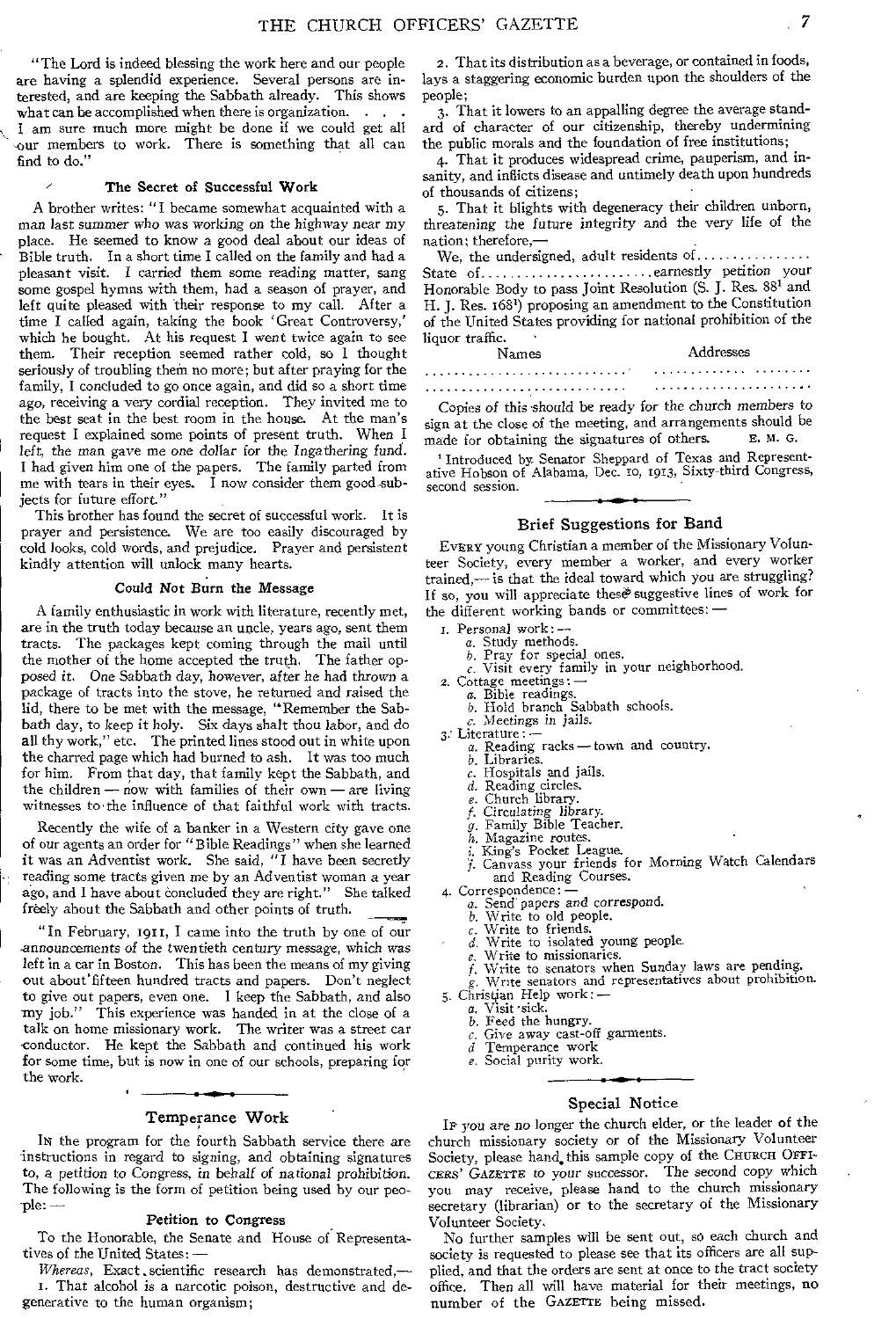"The Lord is indeed blessing the work here and our people are having a splendid experience. Several persons are interested, and are keeping the Sabbath already. This shows what can be accomplished when there is organization. . .

I am sure much more might be done if we could get all our members to work. There is something that all can find to do."

#### **The Secret of Successful Work**

A brother writes: "I became somewhat acquainted with a man last *summer* who *was* working *on* the highway near my place. He seemed to know a good deal about our ideas of Bible truth. In a short time I called on the family and had a pleasant visit. I carried them some reading matter, sang some gospel hymns with them, had a season of prayer, and left quite pleased with their response to my call. After a time I called again, taking the book 'Great Controversy,' which he bought. At his request **I** went twice again to see them. Their reception seemed rather cold, so I thought seriously of troubling them no more; but after praying for the family, I concluded to go once again, and did so a short time ago, receiving a very cordial reception. They invited me to the best seat in the best room in the house. At the man's request I explained some points of present truth. When I left, the *man gave* me one dollar *for* the Ingathering fund. **I** had given him one of the papers. The family parted from me with tears in their eyes. **I** now consider them good-subjects for future effort."

This brother has found the secret of successful work. It is prayer and persistence. We are too easily discouraged by cold looks, cold words, and prejudice. Prayer and persistent kindly attention will unlock many hearts.

#### **Could Not Burn the Message**

A family enthusiastic in work with literature, recently met, are in the truth today because an uncle, years ago, sent them tracts. The packages kept coming through the mail until the mother of the home accepted the truth. The father opposed it. One Sabbath day, however, after he had *thrown* a package of tracts into the stove, he returned and raised the **lid,** there to be met with the message, "Remember the Sabbath day, to keep it holy. Six days shalt thou labor, and do all thy work," etc. The printed lines stood out in white upon the charred page which had burned to ash. It was too much for him. From that day, that family kept the Sabbath, and the children — now with families of their own — are living witnesses to the influence of that faithful work with tracts.

Recently the wife of a banker in a Western city gave one of our agents an order for "Bible Readings" when she learned **it** was an Adventist work. She said, "I have been secretly reading some tracts given me by an Adventist woman a year ago, and I have about concluded they are right." She talked ago, and I have about concluded they are right." freely about the Sabbath and other points of truth.

"In February, 1911, I came into the truth by one of our announcements of the twentieth century message, which was left in a car in Boston. This has been the means of my giving out about fifteen hundred tracts and papers. Don't neglect to give out papers, even one. I keep the Sabbath, and also my job." This experience was handed in at the close of a talk on home missionary work. The writer *was* a street car conductor. He kept the Sabbath and continued his work for some time, but is now in one of our schools, preparing for the work.

#### Temperance Work

IN the program for the fourth Sabbath service there are instructions in regard to signing, and obtaining signatures to, a petition to Congress, *in* behalf of national prohibition. The following is the form of petition being used by our people: —

#### **Petition to Congress**

To the Honorable, the Senate and House of Representatives of the United States: *—* 

*Whereas*, Exact scientific research has demonstrated,-1. That alcohol is a narcotic poison, destructive and degenerative to the human organism;

2. That its distribution as a beverage, or contained in foods, lays a staggering economic burden upon the shoulders of the people;

3. That it lowers to an appalling degree the average standard of character of our citizenship, thereby undermining **the** public morals and the foundation of free institutions;

4. That it produces widespread crime, pauperism, and insanity, and inflicts disease and untimely death upon hundreds of thousands of citizens;

5. That it blights with degeneracy their children unborn, *threatening* the *future* integrity and the very life of the nation; therefore,—

We, the undersigned, adult residents of State of earnestly petition your Honorable Body to pass Joint Resolution (S. J. Res. 881 and H. J. Res. 1681) proposing an amendment to the Constitution of the United States providing for national prohibition of the liquor traffic.<br>Names

Addresses<br>............................... 

sign at the close of the meeting, and arrangements should be made for obtaining the signatures of others. E. M. G.

'Introduced by. Senator Sheppard of Texas and Representative Hobson of Alabama, Dec. to, 1913, Sixty-third Congress, second session.

#### Brief Suggestions for Band

EVERY young Christian a member of the Missionary Volunteer Society, every member a worker, and every worker trained,— is that the ideal toward which you are struggling? If so, you will appreciate these suggestive lines of work for the different working bands or committees: —

I. Personal work:—

- 
- 
- a. Study methods. b. Pray for special ones. c. Visit every family in your neighborhood.
- 2. Cottage meetings: 
	- a. Bible readings.
	- b. Hold branch Sabbath schools.
- c. Meetings in jails. 3: Literature: Literature:
	- a. Reading racks—town and country.
	- b. Libraries.
		- Hospitals and jails.
		-
		-
		-
		- d. Reading circles.<br>e. Church library.<br>*f.* Circulating library.<br>g. Family Bible Teacher.
		- h. Magazine routes. i. King's Pocket League.
		-
		- f. Canvass your friends for Morning Watch Calendars and Reading Courses.
- 4. Correspondence: 
	- a. Send' papers and correspond. b. Write to old people.
	-
	- c. Write to friends.
	-
	- Write to missionaries.
	- c. Write to friends.<br>d. Write to isolated young people.<br>e. Write to missionaries.<br>f. Write to senators when Sunday. Write to senators when Sunday laws are pending.
	- Write senators and representatives about prohibition.
- 5. Christian Help work:— a. Visit-sick.
	- - b. Feed the hungry.
		- $c$ . Give away cast-off garments.<br>d Temperance work
		- *d* Temperance work
		- e. Social purity work.

#### Special Notice

IF you are no longer the church elder, or the leader of the church missionary society or of the Missionary Volunteer Society, please hand, this sample copy of the CHURCH OFFI-CERS' *GAZETTE* to your successor. The second copy which you may receive, please hand to the church missionary secretary (librarian) or to the secretary of the Missionary Volunteer Society.

No further samples will be sent out, so each church and society is requested to please see that its officers are all supplied, and that the orders are sent at once to the tract society office. Then all will have material for their meetings, no number of **the** GAZETTE being missed.

Copies of this should be ready for the church members to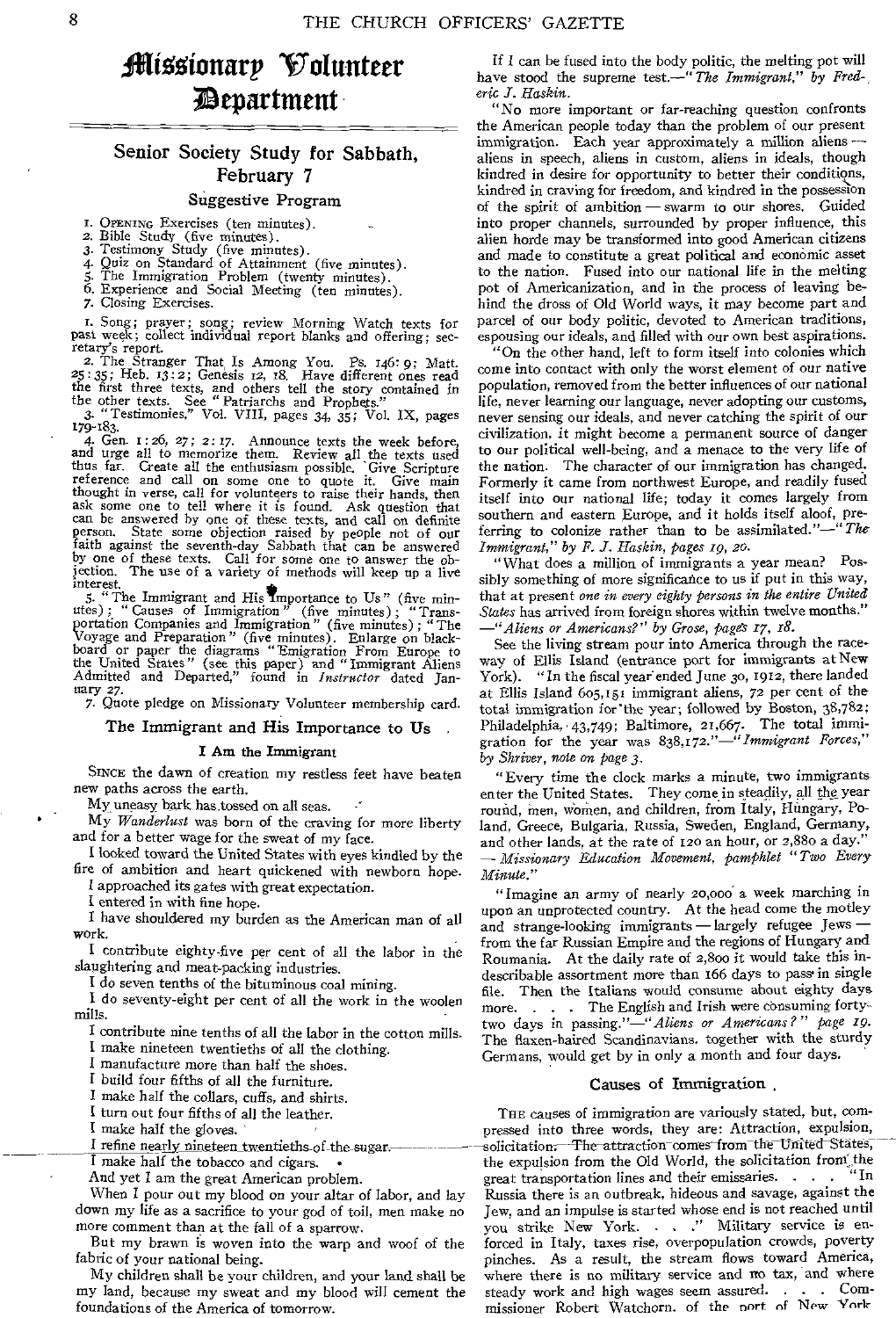# aiiilionarp Volunteer *Department*

# Senior Society Study for Sabbath, February 7

#### Suggestive Program

- I. OPENING Exercises (ten minutes). 2. Bible Study (five minutes).
- 3. Testimony Study (five minutes).
- 4. Quiz on Standard of Attainment (five minutes). 5. The Immigration Problem (twenty minutes).
- 6. Experience and Social Meeting (ten minutes).
- 7. Closing Exercises.
- 

I. Song; prayer; song; review Morning Watch texts for past week; collect individual report blanks and offering; secretary's report.<br>2. The Stranger That Is Among You. Ps. 146: 9; Matt.

25 : 35; Heb. 13:2; Genesis 12, 18. Have different ones read the first three texts, and others tell the story contained in the other texts. See "Patriarchs and Prophets." 3. "Testimonies," Vol. VIII, pages 34, 35; Vol. IX, pages

179-183.<br>4. Gen. 1: 26, 27; 2: 17. Amounce texts the week before,<br>and urge all to memorize them. Review all the texts used<br>thus far. Create all the enthusiasm possible. Give Scripture<br>reference and call on some one to quot can be answered by one of these texts, and call on definite person. State some objection raised by people not of our faith against the seventh-day Sabbath that can be answered by one of these texts. Call for some one to answer the objection. The use of a variety of methods will keep up a live interest.

5. "The Immigrant and His Importance to Us" (five min-utes) ; " Causes of Immigration " (five minutes) ; "Trans-portation Companies and Immigration" (five minutes) ; "The Voyage and Preparation" (five minutes). Enlarge on blackboard or paper the diagrams "Emigration From Europe to the United States" (see this paper) and "Immigrant Aliens Admitted and Departed," found in *Instructor* dated Jan-uary 27. 1217 27.<br>
7. Quote pledge on Missionary Volunteer membership card.<br>
--

The Immigrant and His Importance to Us

#### I Am the Immigrant

SINCE the dawn of creation my restless feet have beaten new paths across the earth.

My uneasy bark has tossed on all seas.

My *Wanderlust* was born of the craving for more liberty and for a better wage for the sweat of my face.

I looked toward the United States with eyes kindled by the fire of ambition and heart quickened with newborn hope.

I approached its gates with great expectation.

I entered in with fine hope.

I have shouldered my burden as the American man of all work.

I contribute eighty-five per cent of all the labor in the slaughtering and meat-packing industries.

I do seven tenths of the bituminous coal mining.

I do seventy-eight per cent of all the work in the woolen mills.

I contribute nine tenths of all the labor in the cotton mills. I make nineteen twentieths of all the clothing.

I manufacture more than half the shoes.

I build four fifths of all the furniture.

I make half the collars, cuffs, and shirts.

I turn out four fifths of all the leather.

I make half the gloves.

I refine nearly nineteen twentieths of the sugar.

I make half the tobacco and cigars. •

And yet I am the great American problem.

When I pour out my blood on your altar of labor, and lay down my life as a sacrifice to your god of toil, men make no more comment than at the fall of a sparrow.

But my brawn is woven into the warp and woof of the fabric of your national being.

My children shall be your children, and your land shall be my land, because my sweat and my blood will cement the foundations of the America of tomorrow.

If I can be fused into the body politic, the melting pot will have stood the supreme test.—" *The Immigrant," by Frederic I. Haskin.* 

"No more important or far-reaching question confronts the American people today than the problem of our present immigration. Each year approximately a million aliens aliens in speech, aliens in custom, aliens in ideals, though kindred in desire for opportunity to better their conditions, kindred in craving for freedom, and kindred in the possession of the spirit of ambition — swarm to our shores. Guided into proper channels, surrounded by proper influence, this alien horde may be transformed into good American citizens and made to constitute a great political and economic asset to the nation. Fused into our national life in the melting pot of Americanization, and in the process of leaving behind the dross of Old World ways, it may become part and parcel of our body politic, devoted to American traditions, espousing our ideals, and filled with our own best aspirations.

"On the other hand, left to form itself into colonies which come into contact with only the worst element of our native population, removed from the better influences of our national life, never learning our language, never adopting our customs, never sensing our ideals, and never catching the spirit of our civilization, it might become a permanent source of danger to our political well-being, and a menace to the very life of the nation. The character of our immigration has changed. Formerly it came from northwest Europe, and readily fused itself into our national life; today it comes largely from southern and eastern Europe, and it holds itself aloof, preferring to colonize rather than to be assimilated."—" *The Immigrant," by F. J. Haskin, pages 1g, 2o.* 

"What does a million of immigrants a year mean? Possibly something of more significance to us if put in this way, that at present *one in every eighty persons in the entire United States* has arrived from foreign shores within twelve months." *—"Aliens or Americans?" by Grose, pages 17, 18.* 

See the living stream pour into America through the raceway of Ellis Island (entrance port for immigrants at New<br>York). "In the fiscal year ended June 30, 1912, there landed "In the fiscal year ended June 30, 1912, there landed at Ellis Island 605,151 immigrant aliens, 72 per cent of the total immigration for 'the year; followed by Boston, 38,782; Philadelphia, 43,749; Baltimore, 21,667. The total immigration for the year was 838,172."—" *Immigrant Forces," by Shrive?, note on page 3.* 

"Every time the clock marks a minute, two immigrants enter the United States. They come in steadily, all the year round, men, women, and children, from Italy, Hungary, Poland, Greece, Bulgaria, Russia, Sweden, England, Germany, and other lands, at the rate of 120 an hour, or 2,88o a day." *— Missionary Education Movement, pamphlet "Two Every Minute."* 

"Imagine an army of nearly 20,000 a week marching in upon an unprotected country. At the head come the motley and strange-looking immigrants — largely refugee Jews from the far Russian Empire and the regions of Hungary and Roumania. At the daily rate of 2,800 it would take this indescribable assortment more than 166 days to pass in single file. Then the Italians would consume about eighty days more. . . . The English and Irish were consuming fortytwo days in passing."—"Aliens *or Americans?" page zg.*  The flaxen-haired Scandinavians, together with the sturdy Germans, would get by in only a month and four days,

#### Causes of Immigration ,

THE causes of immigration are variously stated, but, compressed into three words, they are: Attraction, expulsion, solicitation.<sup>---</sup>The-attraction-comes-from<sup>-the-</sup>United-States, the expulsion from the Old World, the solicitation from, the  $\frac{m}{n}$  the solicitation from,  $\frac{m}{n}$  in great transportation lines and their emissaries. . . Russia there is an outbreak, hideous and savage, against the Jew, and an impulse is started whose end is not reached until<br>you strike New York. . . . . " Military service is enforced in Italy, taxes rise, overpopulation crowds, poverty pinches. As a result, the stream flows toward America, where there is no military service and no tax, and where steady work and high wages seem assured.  $\ldots$ steady work and high wages seem assured. . missioner Robert Watchorn. of the nort of New York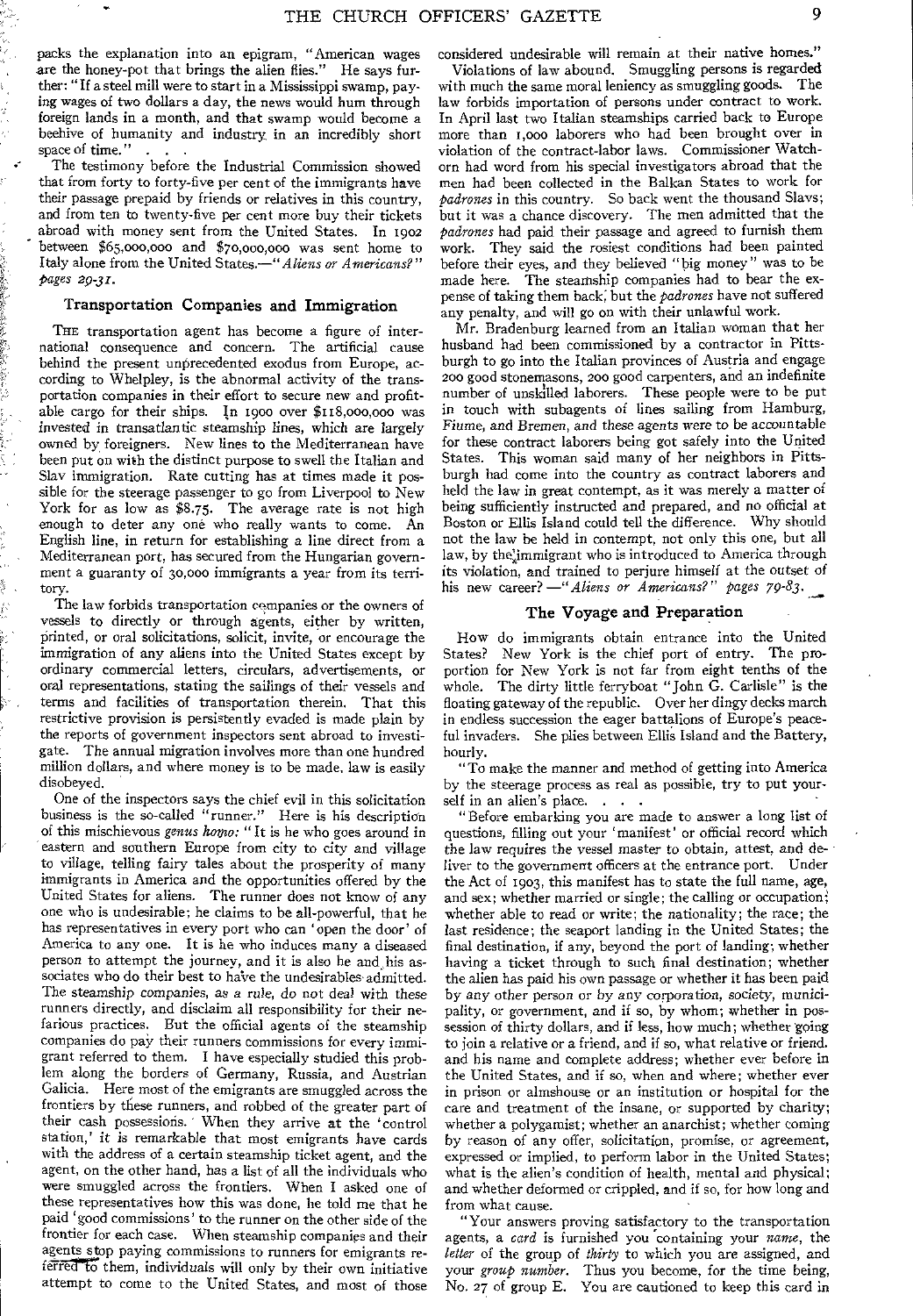packs the explanation into an epigram, "American wages are the honey-pot that brings the alien flies." He says further: "If a steel mill were to start in a Mississippi swamp, paying wages of two dollars a day, the news would hum through foreign lands in a month, and that swamp would become a beehive of humanity and industry in an incredibly short space of time."

The testimony before the Industrial Commission showed that from forty to forty-five per cent of the immigrants have their passage prepaid by friends or relatives in this country, and from ten to twenty-five per cent more buy their tickets abroad with money sent from the United States. In 1902 between \$65,000,000 and \$70,000,000 was sent home to Italy alone from the United States.—"Aliens *or Americans?" pages 29-31.* 

#### Transportation Companies and Immigration

THE transportation agent has become a figure of international consequence and concern. The artificial cause behind the present unprecedented exodus from Europe, according to Whelpley, is the abnormal activity of the transportation companies in their effort to secure new and profitable cargo for their ships. In 1900 over \$118,000,000 was invested in transatlantic steamship lines, which are largely owned by foreigners. New lines to the Mediterranean have been put on with the distinct purpose to swell the Italian and Slav immigration. Rate cutting has at times made it possible for the steerage passenger to go from Liverpool to New York for as low as \$8.75. The average rate is not high enough to deter any one who really wants to come. An English line, in return for establishing a line direct from a Mediterranean port, has secured from the Hungarian government a guaranty of 30,000 immigrants a year from its territory.

The law forbids transportation companies or the owners of vessels to directly or through agents, either by written, printed, or oral solicitations, solicit, invite, or encourage the immigration of any aliens into the United States except by ordinary commercial letters, circulars, advertisements, or oral representations, stating the sailings of their vessels and terms and facilities of transportation therein. That this restrictive provision is persistently evaded is made plain by the reports of government inspectors sent abroad to investigate. The annual migration involves more than one hundred million dollars, and where money is to be made, law is easily disobeyed.

One of the inspectors says the chief evil in this solicitation business is the so-called "runner." Here is his description of this mischievous *genus homo:* "It is he who goes around in eastern and southern Europe from city to city and village to village, telling fairy tales about the prosperity of many immigrants in America and the opportunities offered by the United States for aliens. The runner does not know of any one who is undesirable; he claims to be all-powerful, that he has representatives in every port who can 'open the door' of America to any one. It is he who induces many a diseased person to attempt the journey, and it is also he and his associates who do their best to hatve the undesirables admitted. The steamship *companies, as a rule, do not* deal with these runners directly, and disclaim all responsibility for their nefarious practices. But the official agents of the steamship companies do pay their runners commissions for every immigrant referred to them. I have especially studied this problem along the borders of Germany, Russia, and Austrian Galicia. Here most of the emigrants are smuggled across the frontiers by these runners, and robbed of the greater part of their cash possessions. When they arrive at the 'control station,' it is remarkable that most emigrants have cards with the address of a certain steamship ticket agent, and the agent, on the other hand, has a list of all the individuals who were smuggled across the frontiers. When I asked one of these representatives how this was done, he told me that he paid 'good commissions' to the runner on the other side of the frontier for each case. When steamship companies and their agents stop paying commissions to runners for emigrants referred to them, individuals will only by their own initiative attempt to come to the United States, and most of those

considered undesirable will remain at their native homes." Violations of law abound. Smuggling persons is regarded

with much the same moral leniency as smuggling goods. The law forbids importation of persons under contract to work. In April last two Italian steamships carried back to Europe more than i,000 laborers who had been brought over in violation of the contract-labor laws. Commissioner Watchorn had word from his special investigators abroad that the men had been collected in the Balkan States to work for *padrones* in this country. So back went the thousand Slays; but it was a chance discovery. The men admitted that the *padrones* had paid their passage and agreed to furnish them work. They said the rosiest conditions had been painted before their eyes, and they believed "big money" was to be made here. The steamship companies had to bear the expense of taking them back; but the *padrones* have not suffered any penalty, and will go on with their unlawful work.

Mr. Bradenburg learned from an Italian woman that her husband had been commissioned by a contractor in Pittsburgh to go into the Italian provinces of Austria and engage 200 good stonemasons, zoo good carpenters, and an indefinite number of unskilled laborers. These people were to be put in touch with subagents of lines sailing from Hamburg, Fiume, and *Bremen,* and *these* agents were *to* be accountable for these contract laborers being got safely into the United States. This woman said many of her neighbors in Pittsburgh had come into the country as contract laborers and held the law in great contempt, as it was merely a matter of being sufficiently instructed and prepared, and no official at Boston or Ellis Island could tell the difference. Why should not the law be held in contempt, not only this one, but all law, by the immigrant who is introduced to America through its violation, and trained to perjure himself at the outset of his new career? —" Aliens or Americans?" pages 79-83.

#### The Voyage and Preparation

How do immigrants obtain entrance into the United<br>States? New York is the chief port of entry. The pro-New York is the chief port of entry. The proportion for New York is not far from eight tenths of the whole. The dirty little ferryboat "John G. Carlisle" is the floating gateway of the republic. Over her dingy decks march in endless succession the eager battalions of Europe's peaceful invaders. She plies between Ellis Island and the Battery, hourly.

"To make the manner and method of getting into America by the steerage process as real as possible, try to put yourself in an alien's place. . . .

"Before embarking you are made to answer a long list of questions, filling out your ' manifest' or official record which the law requires the vessel master to obtain, attest, and deliver to the government officers at the entrance port. Under the Act of 1903, this manifest has to state the full name, age, and sex; whether married or single; the calling or occupation; whether able to read or write; the nationality; the race; the last residence; the seaport landing in the United States; the final destination, if any, beyond the port of landing; whether having a ticket through to such final destination; whether the alien has paid his own passage or whether it has been paid by any other person or by *any* corporation, society, municipality, or government, and if so, by whom; whether in possession of thirty dollars, and if less, how much; whether going to join a relative or a friend, and if so, what relative or friend. and his name and complete address; whether ever before in the United States, and if so, when and where; whether ever in prison or almshouse or an institution or hospital for the care and treatment of the insane, or supported by charity; whether a polygamist; whether an anarchist; whether coming by reason of any offer, solicitation, promise, or agreement, expressed or implied, to perform labor in the United States; what is the alien's condition of health, mental and physical; and whether deformed or crippled, and if so, for how long and from what cause.

"Your answers proving satisfactory to the transportation agents, a *card* is furnished you containing your *name,* the *letter* of the group of *thirty* to which you are assigned, and your *group number.* Thus you become, for the time being, No. 27 of group E. You are cautioned to keep this card in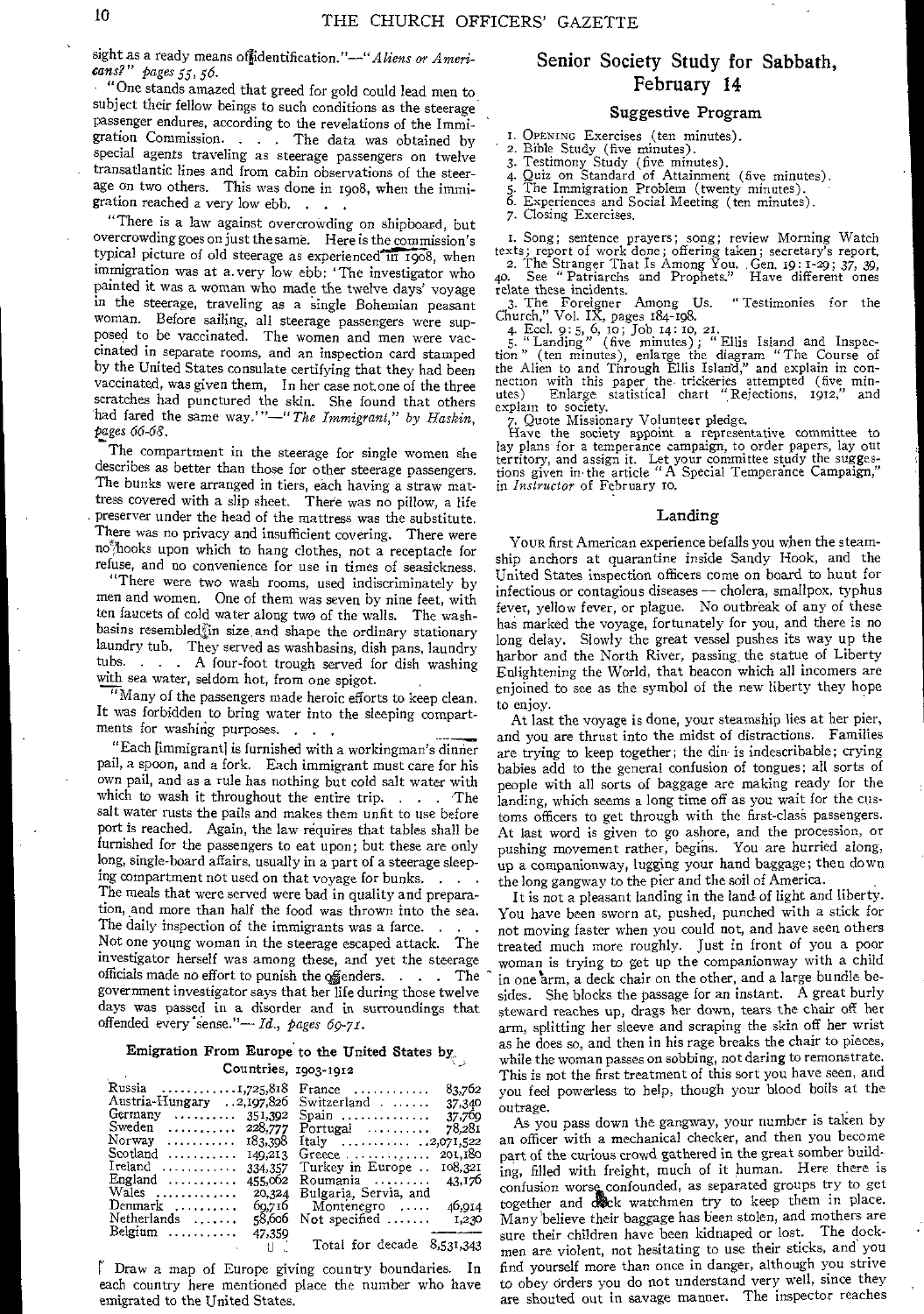sight as a ready means of identification."<sup>-"</sup> Aliens or Ameri*cans?" pages 55, 56.* 

"One stands amazed that greed for gold could lead men to subject their fellow beings to such conditions as the steerage passenger endures, according to the revelations of the Immigration Commission. . . The data was obtained by special agents traveling as steerage passengers on twelve transatlantic lines and from cabin observations of the steerage on two others. This was done in 1908, when the immigration reached a very low ebb. . . .

"There is a law against overcrowding on shipboard, but overcrowding goes on just the same. Here is the commission's typical picture of old steerage as experienced in 1908, when immigration was at a. very low ebb: 'The investigator who painted it was a woman who made the twelve days' voyage in the steerage, traveling as a single Bohemian peasant woman. Before sailing, all steerage passengers were supposed to be vaccinated. The women and men were vaccinated in separate rooms, and an inspection card stamped by the United States consulate certifying that they had been vaccinated, was given them, *In* her case not, one of the three scratches had punctured the skin. She found that others had fared the same way.'"-" *The Immigrant*," by Haskin, Pages *66-68.* 

The compartment in the steerage for single women she describes as better than those for other steerage passengers. The bunks were arranged in tiers, each having a straw mattress covered with a slip sheet. There was no pillow, a life preserver under the head of the mattress was the substitute. There was no privacy and insufficient covering. There were no<sub>7</sub>hooks upon which to hang clothes, not a receptacle for refuse, and no convenience for use in times of seasickness.

"There were two wash rooms, used indiscriminately by men and women. One of them was seven by nine feet, with ten faucets of cold water along two of the walls. The washbasins resembledjin size, and shape the ordinary stationary laundry tub. They served as washbasins, dish pans, laundry tubs. . . . A four-foot trough served for dish washing with sea water, seldom hot, from one spigot.

"Many of the passengers made heroic efforts to keep clean. It was forbidden to bring water into the sleeping compartments for washing purposes. . . .

"Each [immigrant) is furnished with a workingman's dinner pail, a spoon, and a fork. Each immigrant must care for his own pail, and as a rule has nothing but cold salt water with which to wash it throughout the entire trip.  $\ldots$ . The salt water rusts the pails and makes them unfit to use before port is reached. Again, the law requires that tables shall be furnished for the passengers to eat upon; but these are only long, single-board affairs, usually in a part of a steerage sleeping compartment not used on that voyage for bunks. The meals that were served were bad in quality and preparation, and more than half the food was thrown into the sea. The daily inspection of the immigrants was a farce. Not one young woman in the steerage escaped attack. The investigator herself was among these, and yet the steerage officials made no effort to punish the offenders.  $\ldots$  . The government investigator says that her life during those twelve days was passed in a disorder and in surroundings that offended every 'sense."— *Id., pages 6p-71.* 

# Emigration From Europe to the United States by

#### Countries, 1903-1912

| Russia 1,725,818<br>Austria-Hungary 2,197,826<br>Germany<br>Sweden  228,777<br>Norway $183,398$<br>149,213<br>Ireland $\dots\dots\dots$<br>334,357<br>England $\ldots$<br>455.002<br>Wales<br>20,324<br>Denmark<br>00.710<br>Netherlands<br>-8.000 | 83,702<br>$France \dots \dots \dots$<br>Switzerland $\ldots$<br>37,340<br>$Spin$ ,<br>37,769<br>Portugal $\ldots \ldots$<br>78,281<br>201,180<br>Greece $\ldots \ldots \ldots$<br>Turkey in Europe<br>108,321<br>43,176<br>Roumania $\ldots$<br>Bulgaria, Servia, and<br>Montenegro<br>40,014<br>Not specified $\ldots$<br>1,230 |
|----------------------------------------------------------------------------------------------------------------------------------------------------------------------------------------------------------------------------------------------------|----------------------------------------------------------------------------------------------------------------------------------------------------------------------------------------------------------------------------------------------------------------------------------------------------------------------------------|
|                                                                                                                                                                                                                                                    |                                                                                                                                                                                                                                                                                                                                  |
| Belgium<br>47,359<br><b>Controlled Bank</b>                                                                                                                                                                                                        | Total for decade 8,531,343                                                                                                                                                                                                                                                                                                       |

r Draw a map of Europe giving country boundaries. In each country here mentioned place the number who have emigrated to the United States.

# Senior Society Study for Sabbath, February 14

#### Suggestive Program

I. OPENING Exercises (ten minutes).

2. Bible Study (five minutes). 3. Testimony Study (five minutes).

4. Quiz on Standard of Attainment (five minutes). 5. The Immigration Problem (twenty minutes).

5. The Immigration Problem (twolity minutes).<br>6. Experiences and Social Meeting (ten minutes).

7. Closing Exercises.

I. Song; sentence prayers; song; review Morning Watch<br>texts; report of work done; offering taken; secretary's report.<br>2. The Stranger That Is Among You. Gen. 19:1-29; 37, 39,<br>40. See "Patriarchs and Prophets." Have differe

relate these incidents. 3. The Foreigner Among Us. "Testimonies for the Church," Vol. IX, pages 184-198.

4. Eccl. 9: 5, 6, to; Job 14: 10, 21. 5. " Landing" (five minutes); " Ellis Island and Inspection" (ten minutes), enlarge the diagram "The Course of the Alien to and Through Ellis Islatid," and explain in con-nection with this paper the. trickeries attempted (five min-utes) Enlarge statistical chart ",Rejections, 1912," and explain to society.

Quote Missionary Volunteer pledge.

7. Quote Missionary volumest presentative committee to<br>Have the society appoint a representative committee to lay plans for a temperance campaign, to order papers, lay out territory, and assign it. Let your committee study the suggestions given in,the article "A Special Temperance Campaign," in *Instructor* of February to.

#### Landing

YOUR first American experience befalls you when the steamship anchors at quarantine inside Sandy Hook, and the United States inspection officers come on board to hunt for infectious or contagious diseases — cholera, smallpox, typhus fever, yellow fever, or plague. No outbreak of any of these has marked the voyage, fortunately for you, and there is no long delay. Slowly the great vessel pushes its way up the harbor and the North River, passing, the statue of Liberty Enlightening the World, that beacon which all incomers are enjoined to see as the symbol of the new liberty they hope to enjoy.

At last the voyage is done, your steamship lies at her pier, and you are thrust into the midst of distractions. Families are trying to keep together; the din is indescribable; crying babies add to the general confusion of tongues; all sorts of people with all sorts of baggage are making ready for the landing, which seems a long time off as you wait for the customs officers to get through with the first-class passengers. At last word is given to go ashore, and the procession, or pushing movement rather, begins. You are hurried along, up a companionway, lugging your hand baggage; then down the long gangway to the pier and the soil of America.

It is not a pleasant landing in the land of light and liberty. You have been sworn at, pushed, punched with a stick for not moving faster when you could not, and have seen others treated much more roughly. Just in front of you a poor woman is trying to get up the companionway with a child in one arm, a deck chair on the other, and a large bundle besides. She blocks the passage for an instant. A great burly steward reaches up, drags her down, tears the chair off her arm, splitting her sleeve and scraping the skin off her wrist as he does so, and then in his rage breaks the chair to pieces, while the woman passes on sobbing, not daring to remonstrate. This is not the first treatment of this sort you have seen, and you feel powerless to help, though your blood boils at the outrage.

As you pass down the gangway, your number is taken by an officer with a mechanical checker, and then you become part of the curious crowd gathered in the great somber building, filled with freight, much of it human. Here there is confusion worse confounded, as separated groups try to get together and Melc watchmen try to keep them in place. Many believe their baggage has been stolen, and mothers are sure their children have been kidnaped or lost. The dockmen are violent, not hesitating to use their sticks, and you find yourself more than once in danger, although you strive to obey orders you do not understand very well, since they are shouted out in savage manner. The inspector reaches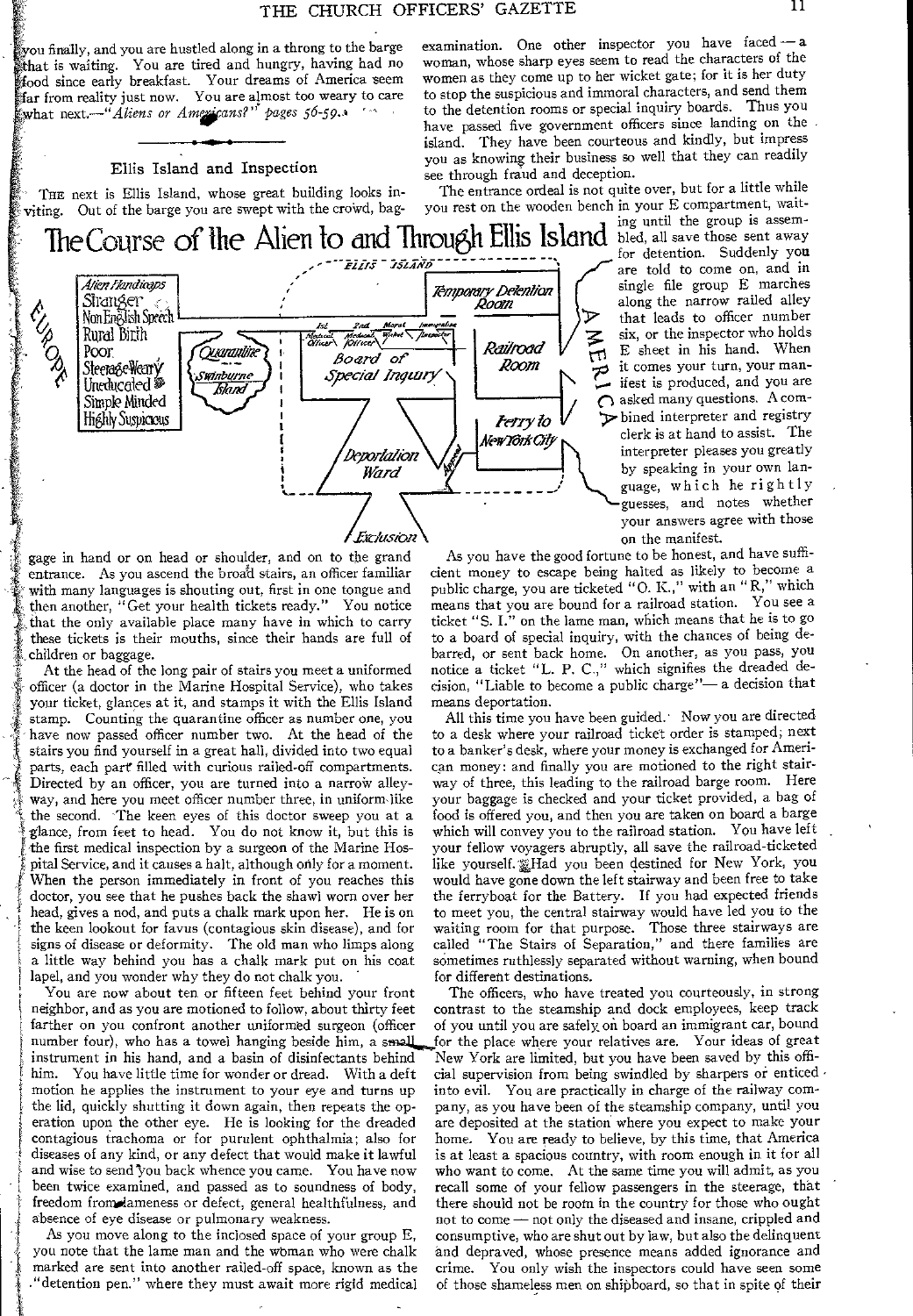you finally, and you are hustled along in a throng to the barge examination. One other inspector you have faced — a hat is waiting. You are tired and hungry, having had no woman, whose sharp eyes seem to read the characters of the food since early breakfast. Your dreams of America seem<br>far from reality just now. You are almost too weary to care<br>to stop the suspicious and send them in magnitude of them in the suspicious formal characters,

#### Ellis Island and Inspection

THE next is Ellis Island, whose great building looks in-<br>ting. Out of the barge you are swept with the crowd, bag- you rest on the wooden bench in your E compartment, waitviting. Out of the barge you are swept with the crowd, bag-

The Course of the Alien to and Through Ellis Island bled, all save those sent away Siranger <sub>-</sub>  $\liminf_{n \to \infty} \frac{f(x)}{\text{Normal}}$ jW *r* ugh Ellis Is<br>mporary Detention<br>Room<br>" Steera&eWeary Uneducated <sup>69</sup> <u>Swinburne</u><br>— *Island* Simple Minded<br>Highly Suspicious *Deportation* / *A Mew York City Ward* Williams **in the Contract of Terms** 

ing until the group is assemfor detention. Suddenly you that leads to officer number along the narrow railed alley ifest is produced, and you are  $\bigcap$  asked many questions. A com*terry to*  $V$   $\triangleright$  bined interpreter and registry clerk is at hand to assist. The interpreter pleases you greatly by speaking in your own Ian guesses, and notes whether your answers agree with those

gage in hand or on head or shoulder, and on to the grand entrance. As you ascend the broad stairs, an officer familiar cient money to escape being halted as likely to become a with many languages is shouting out, first in one tongue and public charge, you are ticketed "O. K.," w with many languages is shouting out, first in one tongue and then another, "Get your health tickets ready." You notice that the only available place many have in which to carry ticket "S. I." on the lame man, which means that he is to go<br>these tickets is their mouths, since their hands are full of to a board of special inquiry, with the ch these tickets is their mouths, since their hands are full of

officer (a doctor in the Marine Hospital Service), who takes cision, "Liable to be your ticket, glances at it, and stamps it with the Ellis Island — means deportation. your ticket, glances at it, and stamps it with the Ellis Island stamp. Counting the quarantine officer as number one, you All this time you have been guided. Now you are directed have now passed officer number two. At the head of the stairs you find yourself in a great hall, divided into two equal to a banker's desk, where your money is exchanged for Ameriparts, each part filled with curious railed-off compartments. can money: and finally you are motioned to the right stair-Directed by an officer, you are turned into a narrow alley- way of three, this leading to the railroad barge room. Here<br>way, and here you meet officer number three, in uniform like your baggage is checked and your ticket p the second. The keen eyes of this doctor sweep you at a glance, from feet to head. You do not know it, but this is glance, from feet to head. You do not know it, but this is which will convey you to the railroad station. You have left<br>the first medical inspection by a surgeon of the Marine Hos- your fellow voyagers abruptly, all save t When the person immediately in front of you reaches this<br>doctor, you see that he pushes back the shawl worn over her pital Service, and it causes a halt, although only for a moment. like yourself. Thad you been destined for New York, you head, gives a nod, and puts a chalk mark upon her. He is on to meet you, the central stairway would have led you to the<br>the keen lookout for favus (contagious skin disease), and for waiting room for that purpose. Those thr the keen lookout for favus (contagious skin disease), and for waiting room for that purpose. Those three stairways are signs of disease or deformity. The old man who limps along called "The Stairs of Separation," and there a little way behind you has a chalk mark put on his coat sometimes ruthlessly separated without warning, when bound<br>lapel, and you wonder why they do not chalk you. for different destinations. lapel, and you wonder why they do not chalk you.

neighbor, and as you are motioned to follow, about thirty feet contrast to the steamship and dock employees, keep track<br>farther on you confront another uniformed surgeon (officer of you until you are safely on board an imm farther on you confront another uniformed surgeon (officer of you until you are safely on board an immigrant car, bound<br>number four), who has a towel hanging beside him, a small for the place where your relatives are. Your instrument in his hand, and a basin of disinfectants behind New York are limited, but you have been saved by this offimotion he applies the instrument to your eye and turns up into evil. You are practically in charge of the railway com-<br>the lid, quickly shutting it down again, then repeats the op-pany, as you have been of the steamship co eration upon the other eye. He is looking for the dreaded are deposited at the station where you expect to make your contagious trachoma or for purulent ophthalmia; also for home. You are ready to believe, by this time, th contagious trachoma or for purulent ophthalmia; also for home. You are ready to believe, by this time, that America<br>diseases of any kind, or any defect that would make it lawful is at least a spacious country, with room en and wise to send you back whence you came. You have now who want to come. At the same time you will admit, as you been twice examined, and passed as to soundness of body, recall some of your fellow passengers in the steera been twice examined, and passed as to soundness of body, recall some of your fellow passengers in the steerage, that freedom from dameness or defect, general healthfulness, and there should not be room in the country for t

As you move along to the inclosed space of your group E, consumptive, who are shut out by law, but also the delinquent<br>you note that the lame man and the woman who were chalk and depraved, whose presence means added ignora marked are sent into another railed-off space, known as the crime. You only wish the inspectors could have seen some<br>"detention pen." where they must await more rigid medical of those shameless men on shipboard, so that in "detention pen." where they must await more rigid medical

t

*Exclusion* **Stairs** on the manifest.<br>he grand As you have the good fortune to be honest, and have suffi-You notice means that you are bound for a railroad station. You see a children or baggage.<br>
At the head of the long pair of stairs you meet a uniformed notice a ticket "L. P. C.," which signifies the dreaded de-At the head of the long pair of stairs you meet a uniformed notice a ticket "L. P. C.," which signifies the dreaded de-<br>ficer (a doctor in the Marine Hospital Service), who takes cision, "Liable to become a public charge"—

women as they come up to her wicket gate; for it is her duty<br>to stop the suspicious and immoral characters, and send them

to the detention rooms or special inquiry boards. Thus you have passed five government officers since landing on the island. They have been courteous and kindly, but impress

you as knowing their business so well that they can readily

see through fraud and deception.

your baggage is checked and your ticket provided, a bag of<br>food is offered you, and then you are taken on board a barge your fellow voyagers abruptly, all save the railroad-ticketed would have gone down the left stairway and been free to take the ferryboat for the Battery. If you had expected friends called "The Stairs of Separation," and there families are

You are now about ten or fifteen feet behind your front The officers, who have treated you courteously, in strong for the place where your relatives are. Your ideas of great him. You have little time for wonder or dread. With a deft cial supervision from being swindled by sharpers or enticed *motion* he applies the instrument to your eye and turns up into evil. You are practically in charge of pany, as you have been of the steamship company, until you is at least a spacious country, with room enough in it for all there should not be room in the country for those who ought absence of eye disease or pulmonary weakness. not to come — not only the diseased and insane, crippled and<br>As you move along to the inclosed space of your group E, consumptive, who are shut out by law, but also the delinqu and depraved, whose presence means added ignorance and

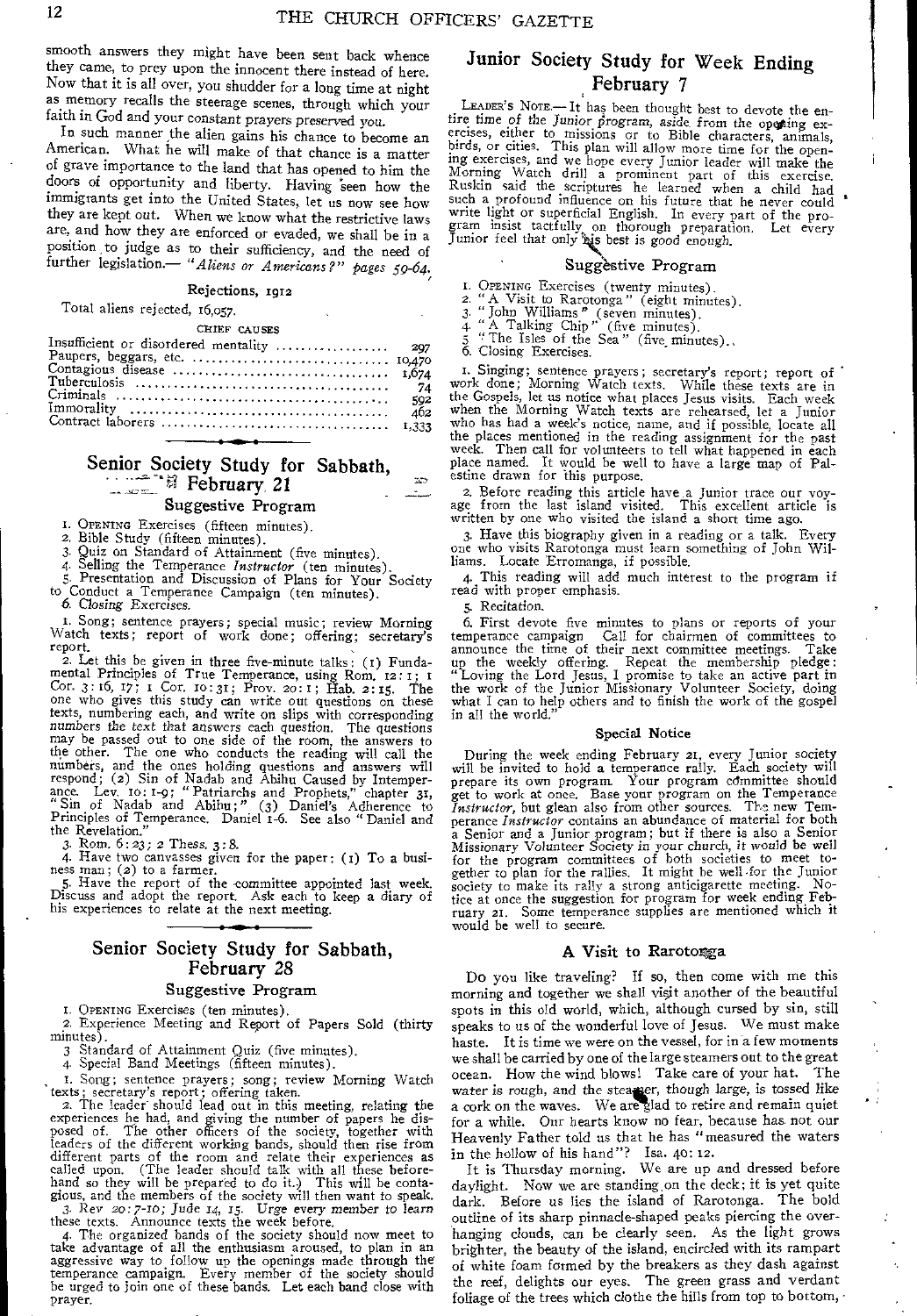smooth answers they might have been sent back whence they came, to prey upon the innocent there instead of here. Now that it is all over, you shudder for a long time at night as memory recalls the steerage scenes, through which your faith in God and your constant prayers preserved you.

In such manner the alien gains his chance to become an American. What he will make of that chance is a matter of grave importance to the land that has opened to him the doors of opportunity and liberty. Having seen how the immigrants get into the United States, let us now see how they are kept out. When we know what the restrictive laws are, and how they are enforced or evaded, we shall be in a position to judge as to their sufficiency, and the need of further legislation.— *"Aliens or Americans?" pages 59-64.* 

#### Rejections, 1912

Total aliens rejected, 16,057.

#### CHIEF CAUSES

| 592 |
|-----|
| 462 |
|     |
|     |

# Senior Society Study for Sabbath,<br>  $\frac{1}{2}$  *February.* 21

#### Suggestive Program

I. OPENING Exercises (fifteen minutes).

2. Bible Study (fifteen minutes).<br>3. Quiz on Standard of Attainme 3. Quiz on Standard of Attainment (five minutes).

4. Selling the Temperance *Instructor* (ten minutes).

5. Presentation and Discussion of Plans for Your Society

to Conduct a Temperance Campaign (ten minutes). 6 Closing Exercises.

I. Song; sentence prayers; special music; review Morning Watch texts; report of work done; offering; secretary's report.

2. Let this be given in three five-minute talks: (1) Fundamental Principles of True Temperance, using Rom. 12:1; 1<br>Cor. 3:16, 17; 1 Cor. 10:31; Prov. 20:1; Hab. 2:15. The<br>one who gives this study can write out questions on these<br>texts, numbering each, and write on slips with corr may be passed out to one side of the room, the answers to the other. The one who conducts the reading will call the numbers, and the ones holding questions and answers will respond; (2) Sin of Nadab and Abihu Caused by Intemperance. Lev. 10: 1-9; "Patriarchs and Prophets," chapter 31, "Sin of Nadab and Abihu;" (3) Daniel's Adherence to Principles of Temperance. Daniel 1-6. See also "Daniel an

3. Rom. 6:23; 2 Thess. 3:8.

*4.* Have two canvasses given for the paper: (t) To a business man; (2) to a farmer.

5. Have the report of the -committee appointed last week. Discuss and adopt the report. Ask each to keep a diary of his experiences to relate at the next meeting.

## Senior Society Study for Sabbath, February 28

#### Suggestive Program

I. OPENING Exercises (ten minutes).

2. Experience Meeting and Report of Papers Sold (thirty minutes).

3 Standard of Attainment Quiz (five minutes).

4. Special Band Meetings (fifteen minutes).

I. Song; sentence prayers; song; review Morning Watch texts; secretary's report; offering taken.

2. The leader should lead out in this meeting, relating the experiences he had, and giving the number of papers he dis-posed of. The other officers of the society, together with leaders of the different working bands, should then rise from different parts of the room and relate their experiences as called upon. (The leader should talk with all these before-<br>hand so they will be prepared to do it.) This will be conta-<br>gious, and the members of the society will then want to speak.<br>3. Rev 20:7-10; Jude 14, 15. Urge ever

these texts. Announce texts the week before. 4. The organized bands of the society should now meet to take advantage of all the enthusiasm aroused, to plan in an aggressive way to follow up the openings made through the temperance campaign. Every member of the society should be urged to join one of these bands. Let each band close with prayer.

# Junior Society Study for Week Ending February 7

LEADER'S NOTE.— It has been thought best to devote the en-tire time *of the Junior program, aside* from the opeting exercises, either to missions or to Bible characters, animals, birds, or cities. This plan will allow more time for the opening exercises, and we hope every Junior leader will make the Morning Watch drill a prominent part of this exercise. Ruskin said the scriptures he learned when a child had such a profound influence on his future that he never could a write light or superficial English. In every part of the program insist tactfully on thorough preparation. Let every Junior feel that only ris best is good enough.

#### Suggestive Program

I. OPENING Exercises (twenty minutes). 2. "A Visit to Rarotonga" (eight minutes).

3. "John Williams" (seven minutes).

4. "A Talking Chip' (five minutes). 5 " The Isles of the Sea" (five, minutes).. 5. The isles of the<br>6. Closing Exercises.

1. Singing; sentence prayers; secretary's report; report of work done; Morning Watch texts. While these texts are in the Gospels, let us notice what places Jesus visits. Each week when the Morning Watch texts are rehearsed, let a Junior who has had a week's notice, name, and if pos the places mentioned in the reading assignment for the past week. Then call for volunteers to tell what happened in each place named. It would be well to have a large map of Pal-estine drawn for this purpose.

2. Before reading this article have .a Junior trace our voy-age from the last island visited. This excellent article is written by one who visited the island a short time ago.

3. Have this biography given in a reading or a talk. Every one who visits Rarotonga must learn something of John Williams. Locate Erromanga, if possible.

4. This reading will add much interest to the program if read with proper emphasis.

5. Recitation.

6. First devote five minutes to plans or reports of your temperance campaign Call for chairmen of committees to announce the time of their next committee meetings. Take up the weekly offering. Repeat the membership pledge: "Loving the Lord Jesus, I promise to take an active part in the work of the Junior Missionary Volunteer Society, doing what I can to help others and to finish the work of the gospel in all the world."

#### Special Notice

During the week ending February 21, every Junior society will be invited to hold a temperance rally. Each society will prepare its own program. Your program cdmmittee should get to work at once. Base your program on the Temperance *Instructor,* but glean also from other sources. The new Temperance *Instructor* contains an abundance of material for both a Senior and a Junior program; but if there is also a Senior *Missionary* Volunteer *Society in your* church, it would be well for the program committees of both societies to meet together to plan for the rallies. It might be well -for the Junior society to make its rally a strong anticigarette meeting. Notice at once the suggestion for program for week ending February 21. Some temperance supplies are mentioned which it would be well to secure.

#### A Visit to Rarotonga

Do you like traveling? If so, then come with me this morning and together we shall visit another of the beautiful spots in this old world, which, although cursed by sin, still speaks to us of the wonderful love of Jesus. We must make haste. It is time we were on the vessel, for in a few moments we shall be carried by one of the large steamers out to the great ocean. How the wind blows! Take care of your hat. The water is rough, and the steamer, though large, is tossed like a cork on the waves. We are glad to retire and remain quiet for a while. Our hearts know no fear, because has. not our Heavenly Father told us that he has "measured the waters in the hollow of his hand"? Isa. 40: 12.

It is Thursday morning. We are up and dressed before daylight. Now we are standing, on the deck; if is yet quite dark. Before us lies the island of Rarotonga. The bold outline of its sharp pinnacle-shaped peaks piercing the overhanging clouds, can be clearly seen. As the light grows brighter, the beauty of the island, encircled with its rampart of white foam formed by the breakers as they dash against the reef, delights our eyes. The green grass and verdant foliage of the trees which clothe the hills from top to bottom,

 $\infty$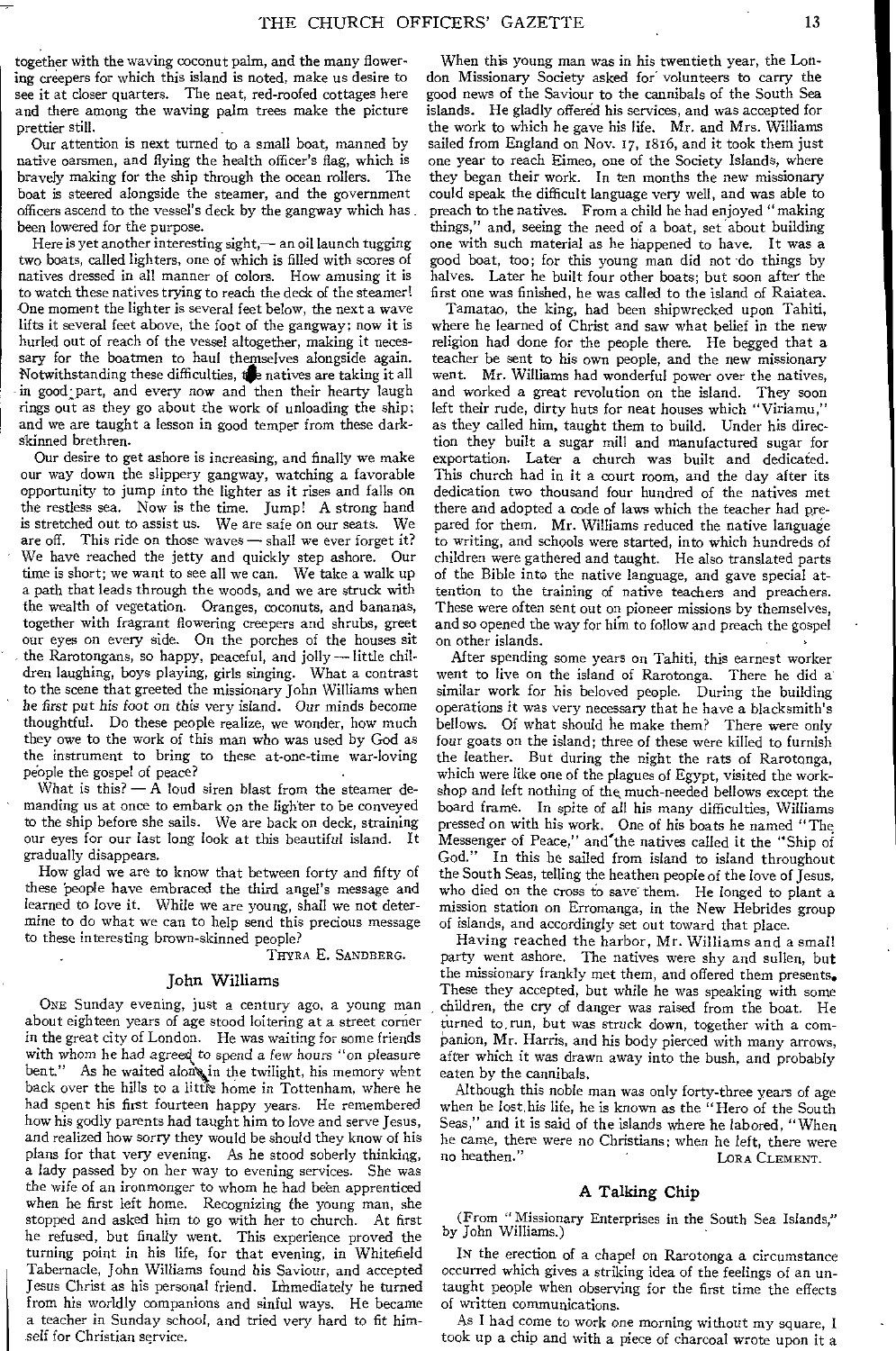together with the waving coconut palm, and the many flowering creepers for which this island is noted, make us desire to see it at closer quarters. The neat, red-roofed cottages here and there among the waving palm trees make the picture prettier still.

Our attention is next turned to a small boat, manned by native oarsmen, and flying the health officer's flag, which is bravely making for the ship through the ocean rollers. The boat is steered alongside the steamer, and the government officers ascend to the vessel's deck by the gangway which has been lowered for the purpose.

Here is yet another interesting sight,— an oil launch tugging two boats, called lighters, one of which is filled with scores of natives dressed in all manner of colors. How amusing it is to watch these natives trying to reach the deck of the steamer! One moment the lighter is several feet below, the next a wave lifts it several feet above, the foot of the gangway; now it is hurled out of reach of the vessel altogether, making it necessary for the boatmen to haul themselves alongside again. Notwithstanding these difficulties, the natives are taking it all in good; part, and every now and then their hearty laugh rings out as they go about the work of unloading the ship; and we are taught a lesson in good temper from these darkskinned brethren.

Our desire to get ashore is increasing, and finally we make our way down the slippery gangway, watching a favorable opportunity to jump into the lighter as it rises and falls on the restless sea. Now is the time. Jump! A strong hand is stretched out to assist us. We are safe on our seats. We are off. This ride on those waves — shall we ever forget it? We have reached the jetty and quickly step ashore. Our time is short; we want to see all we can. We take a walk up a path that leads through the woods, and we are struck with the wealth of vegetation. Oranges, coconuts, and bananas, together with fragrant flowering creepers and shrubs, greet our eyes on every side. On the porches of the houses sit the Rarotongans, so happy, peaceful, and jolly — little children laughing, boys playing, girls singing. What a contrast to the scene that greeted the missionary John Williams when he first put *his* foot on *this* very island. Our minds become thoughtful. Do these people realize, we wonder, how much they owe to the work of this man who was used by God as the instrument to bring to these at-one-time war-loving people the gospel of peace?

What is this?  $- A$  loud siren blast from the steamer demanding us at once to embark on the lighter to be conveyed to the ship before she sails. We are back on deck, straining our eyes for our last long look at this beautiful island. It gradually disappears.

How glad we are to know that between forty and fifty of these people have embraced the third angel's message and learned to love it. While we are young, shall we not determine to do what we can to help send this precious message to these interesting brown-skinned people?

THYRA E. SANDBERG.

#### John Williams

ONE Sunday evening, just a century ago, a young man about eighteen years of age stood loitering at a street corner in the great city of London. He was waiting for some friends with whom he had agreed to spend a few hours "on pleasure bent." As he waited along in the twilight, his memory went back over the hills to a little home in Tottenham, where he had spent his first fourteen happy years. He remembered how his godly parents had taught him to love and serve Jesus, and realized how sorry they would be should they know of his plans for that very evening. As he stood soberly thinking, a lady passed by on her way to evening services. She was the wife of an ironmonger to whom he had been apprenticed when he first left home. Recognizing the young man, she stopped and asked him to go with her to church. At first he refused, but finally went. This experience proved the turning point in his life, for that evening, in Whitefield Tabernacle, John Williams found his Saviour, and accepted Jesus Christ as his personal friend. Immediately he turned from his worldly companions and sinful ways. He became a teacher in Sunday school, and tried very hard to fit himself for Christian service.

When this young man was in his twentieth year, the London Missionary Society asked for volunteers to carry the good news of the Saviour to the cannibals of the South Sea islands. He gladly offered his services, and was accepted for the work to which he gave his life. Mr. and Mrs. Williams sailed from England on Nov. 17, 1816, and it took them just one year to reach Eimeo, one of the Society Islands, where they began their work. In ten months the new missionary could speak the difficult language very well, and was able to preach to the natives. From a child he had enjoyed "making things," and, seeing the need of a boat, set about building one with such material as he happened to have. It was a good boat, too; for this young man did not do things by halves. Later he built four other boats; but soon after the first one was finished, he was called to the island of Raiatea.

Tamatao, the king, had been shipwrecked upon Tahiti, where he learned of Christ and saw what belief in the new religion had done for the people there. He begged that a teacher be sent to his own people, and the new missionary went. Mr. Williams had wonderful power over the natives, and worked a great revolution on the island. They soon left their rude, dirty huts for neat houses which "Viriamu," as they called him, taught them to build. Under his direction they built a sugar mill and manufactured sugar for exportation. Later a church was built and dedicated. This church had in it a court room, and the day after its dedication two thousand four hundred of the natives met there and adopted a code of laws which the teacher had prepared for them. Mr. Williams reduced the native language to writing, and schools were started, into which hundreds of children were gathered and taught. He also translated parts of the Bible into the native language, and gave special attention to the training of native teachers and preachers. These were often sent out on pioneer missions by themselves, and so opened the way for him to follow and preach the gospel on other islands.

After spending some years on Tahiti, this earnest worker went to live on the island of Rarotonga. There he did a similar work for his beloved people. During the building operations it was very necessary that he have a blacksmith's bellows. Of what should he make them? There were only four goats on the island; three of these were killed to furnish the leather. But during the night the rats of Rarotonga, which were like one of the plagues of Egypt, visited the workshop and left nothing of the, much-needed bellows except the board frame. In spite of all his many difficulties, Williams pressed on with his work. One of his boats he named "The Messenger of Peace," and'the natives called it the "Ship of God." In this he sailed from island to island throughout the South Seas, telling the heathen people of the love of Jesus, who died on the cross to save them. He longed to plant a mission station on Erromanga, in the New Hebrides group of islands, and accordingly set out toward that place.

Having reached the harbor, Mr. Williams and a small party went ashore. The natives were shy and sullen, but the missionary frankly met them, and offered them presents. These they accepted, but while he was speaking with some children, the cry of danger was raised from the boat. He turned to, run, but was struck down, together with a companion, Mr. Harris, and his body pierced with many arrows, after which it was drawn away into the bush, and probably eaten by the cannibals.

Although this noble man was only forty-three years of age when he lost,his life, he is known as the "Hero of the South Seas," and it is said of the islands where he labored, "When he came, there were no Christians; when he left, there were no heathen." LORA CLEMENT.

#### A Talking Chip

(From " Missionary Enterprises in the South Sea Islands," by John Williams.)

IN the erection of a chapel on Rarotonga a circumstance occurred which gives a striking idea of the feelings of an untaught people when observing for the first time the effects of written communications.

As I had come to work one morning without my square, I took up a chip and with a piece of charcoal wrote upon it a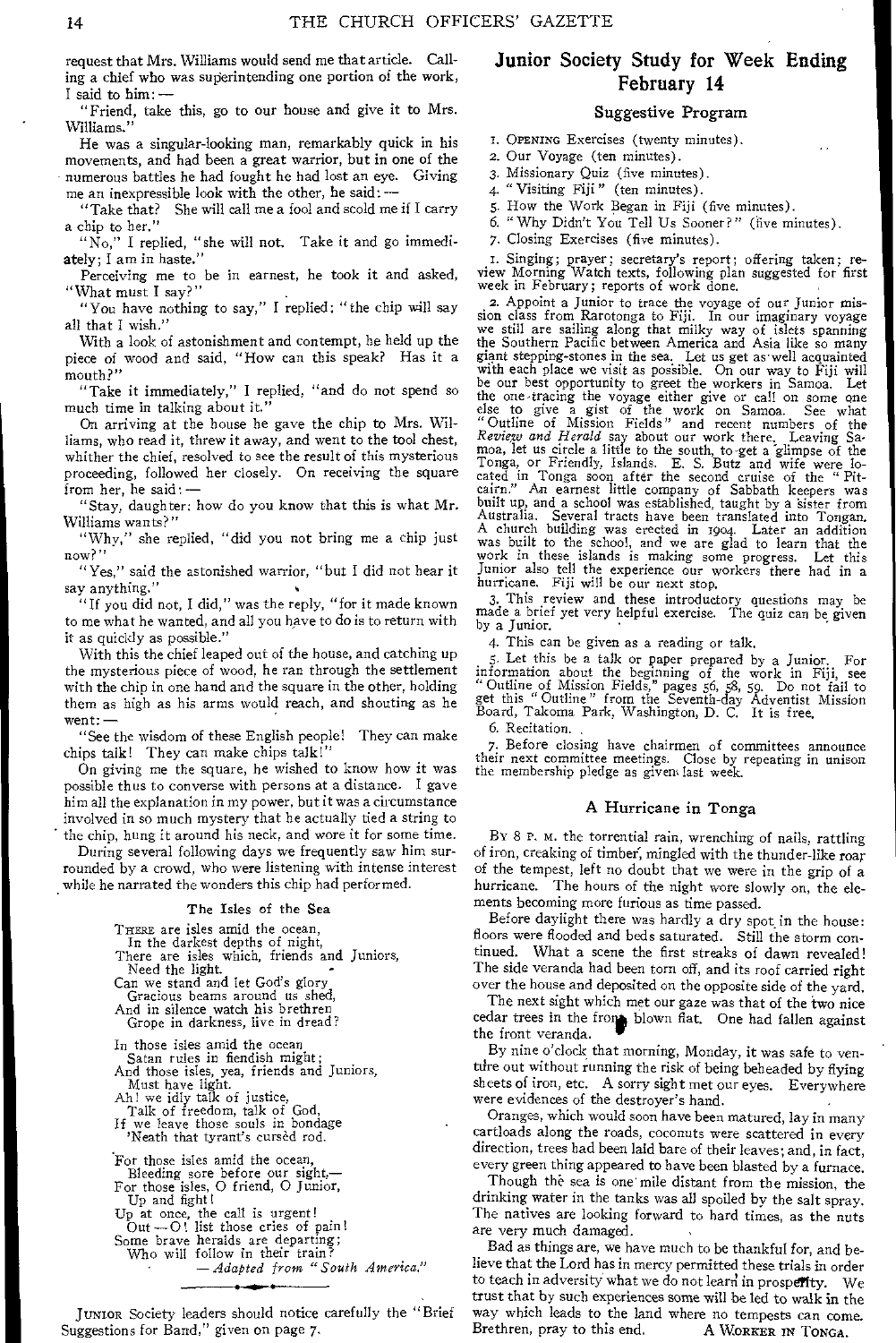request that Mrs. Williams would send me that article. Calling a chief who was superintending one portion of the work, I said to him: —

"Friend, take this, go to our house and give it to Mrs. Williams."

He was a singular-looking man, remarkably quick in his movements, and had been a great warrior, but in one of the numerous battles he had fought he had lost an eye. Giving me an inexpressible look with the other, he said: —

"Take that? She will call me a fool and scold me if I carry a chip to her."

"No," I replied, "she will not. Take it and go immediately; I am in haste."

Perceiving me to be in earnest, he took it and asked, "What must I say?"

"You have nothing to say," I replied; "the chip will say all that I wish."

With a look of astonishment and contempt, he held up the piece of wood and said, "How can this speak? Has it a mouth?"

"Take it immediately," I replied, "and do not spend so much time in talking about it."

On arriving at the house he gave the chip to Mrs. Williams, who read it, threw it away, and went to the tool chest, whither the chief, resolved to see the result of this mysterious proceeding, followed her closely. On receiving the square from her, he said: —

"Stay, daughter; how do you know that this is what Mr. Williams wants?"

"Why," she replied, "did you not bring me a chip just now?"

"Yes," said the astonished warrior, "but I did not hear it say anything."

"If you did not, I did," was the reply, "for it made known to me what he wanted, and all you have to do is to return with it as quickly as possible.'

With this the chief leaped out of the house, and catching up the mysterious piece of wood, he ran through the settlement with the chip in one hand and the square in the other, holding them as high as his arms would reach, and shouting as he went: —

"See the wisdom of these English people! They can make chips talk! They can make chips talk!"

On giving me the square, he wished to know how it was possible thus to converse with persons at a distance. I gave him all the explanation in my power, but it was a circumstance involved in so much mystery that he actually tied a string to the chip, hung it around his neck, and wore it for some time.

During several following days we frequently saw him surrounded by a crowd, who were listening with intense interest while he narrated the wonders this chip had performed.

#### The Isles of the Sea

THERE are isles amid the ocean,

In the darkest depths of night, There are isles which, friends and Juniors, Need the light.

Can we stand and let God's glory Gracious beams around us shed,

And in silence watch his brethren Grope in darkness, live in dread?

In those isles amid the ocean Satan rules in fiendish might; And those isles, yea, friends and Juniors,

Must have light. Ah ! we idly talk of justice,

Talk of freedom, talk of God,

If we leave those souls in bondage

'Neath that tyrant's cursed rod.

For those isles amid the ocean,

Bleeding sore before our sight,— For those isles, 0 friend, 0 Junior,

Up and fight 1

Up at once, the call is urgent!

Out — 0! list those cries of pain!

Some brave heralds are departing;

Who will follow in their train? *—Adapted from "South America."* 

JUNIOR Society leaders should notice carefully the "Brief Suggestions for Band," given on page 7.

# Junior Society Study for Week Ending February 14

#### Suggestive Program

I. OPENING Exercises (twenty minutes).

2. Our Voyage (ten minutes).

3. Missionary Quiz (five minutes).

4. "Visiting Fiji" (ten minutes).

5. How the Work Began in Fiji (five minutes).

6. "Why Didn't You Tell Us Sooner?" (five minutes).

7. Closing Exercises (five minutes).

I. Singing; prayer; secretary's report; offering taken; review Morning Watch texts, following plan suggested for first week in February; reports of work done.

2. Appoint a Junior to trace the voyage of our Junior mission class from Rarotonga to Fiji. In our imaginary voyage we still are sailing along that milky way of islets spanning the Southern Pacific between America and Asia like so many giant stepping-stones in the sea. Let us get as'well acquainted with each place we visit as poskible. On our way to Fiji will be our best opportunity to greet the workers in Samoa. Let the one-tracing the voyage either give or call on some one else to give a gist of the work on Samoa. See what "Outline of Mission Fields" and recent numbers of the *Review and Herald* say about our work there. Leaving Sa-moa, let us circle a little to the south, to -get a glimpse of the Tonga, or Friendly, Islands. E. S. Butz and wife were 10 cated in Tonga soon after the second cruise of the " Pit-cairn." An earnest little company of Sabbath keepers was built up, and a school was established, taught by a 'sister from Australia. Several tracts have been translated into Tongan. A church building was erected in 1904. Later an addition was built to the school, and we are glad to learn that the work in these islands is making some progress. Let this Junior also tell the experience our workers there had in a hurricane. Fiji will be our next stop.

3. This review and these introductory questions may be made a brief yet very helpful exercise. The quiz can be given by a Junior.

4. This can be given as a reading or talk.

5. Let this be a talk or paper prepared by a Junior. For information about the beginning of the work in Fiji, see "Outline of Mission Fields," pages 56, 88, 39. Do not fail to get this " Outline " from the Seventh-day Adventist Mission Board, Takoma Park, Washington, D. C. It is free.

6. Recitation. ,

7. Before closing have chairmen of committees announce their next committee meetings. Close by repeating in unison the membership pledge as given. last week.

#### A Hurricane in Tonga

BY 8 P. M. the torrential rain, wrenching of nails, rattling of iron, creaking of timber, mingled with the thunder-like roar of the tempest, left no doubt that we were in the grip of a hurricane. The hours of the night wore slowly on, the elements becoming more furious as time passed.

Before daylight there was hardly a dry spot.in the house: floors were flooded and beds saturated. Still the storm continued. What a scene the first streaks of dawn revealed! The side veranda had been torn off, and its roof carried right over the house and deposited on the opposite side of the yard.

The next sight which met our gaze was that of the two nice cedar trees in the from blown flat. One had fallen against the front veranda.

By nine o'clock that morning, Monday, it was safe to venture out without running the risk of being beheaded by flying sheets of iron, etc. A sorry sight met our eyes. Everywhere were evidences of the destroyer's hand.

Oranges, which would soon have been matured, lay in many cartloads along the roads, coconuts were scattered in every direction, trees had been laid bare of their leaves; and, in fact, every green thing appeared to have been blasted by a furnace.

Though the sea is one' mile distant from the mission, the drinking water in the tanks was all spoiled by the salt spray. The natives are looking forward to hard times, as the nuts are very much damaged.

Bad as things are, we have much to be thankful for, and believe that the Lord has in mercy permitted these trials in order to teach in adversity what we do not learn in prosperity. We trust that by such experiences some will be led to walk in the way which leads to the land where no tempests can come.<br>Brethren, pray to this end. A WORKER IN TONGA. Brethren, pray to this end.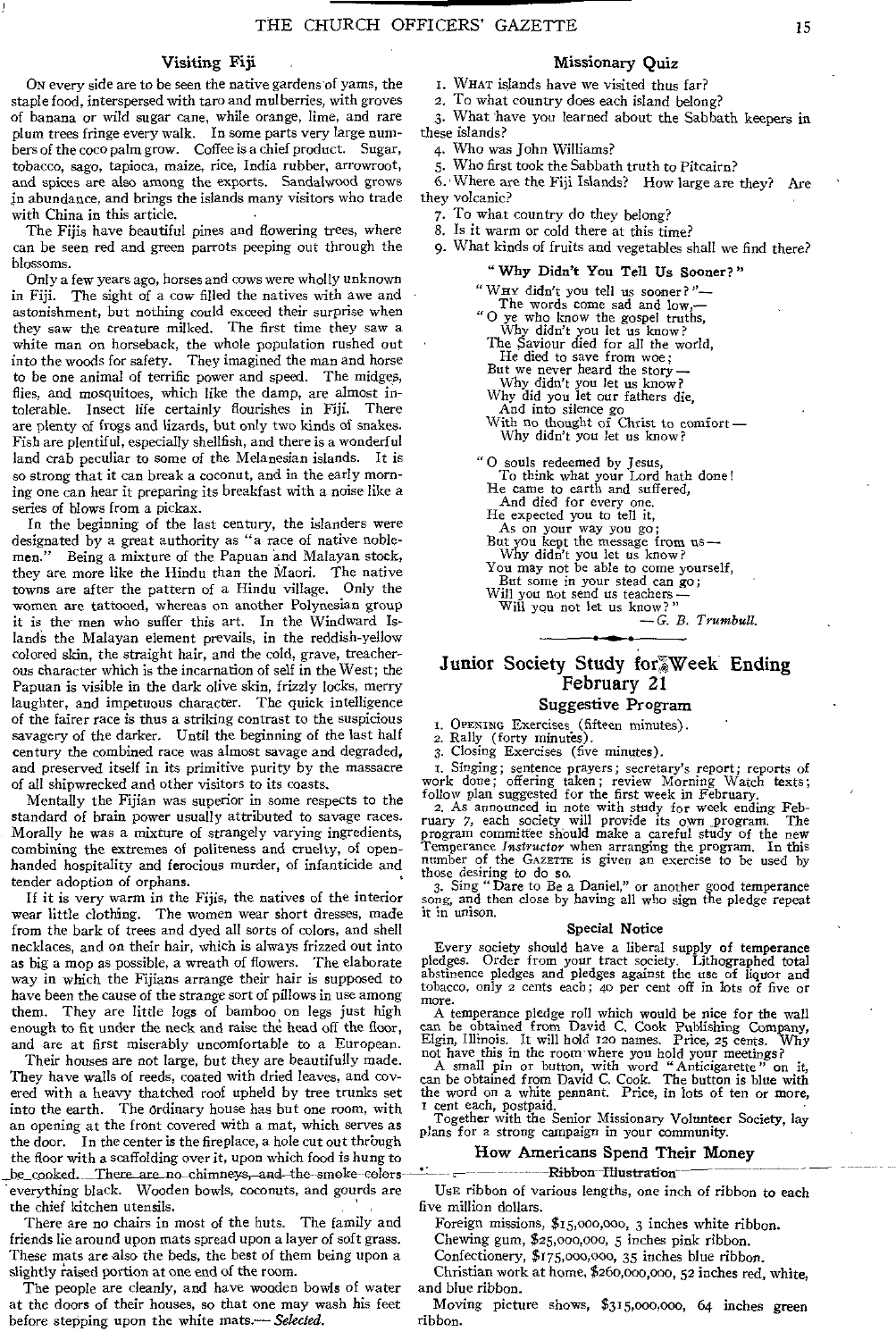#### Visiting Fiji

ON every side are to be seen the native gardens of yams, the staple food, interspersed with taro and mulberries, with groves of banana or wild sugar cane, while orange, lime, and rare plum trees fringe every walk. In some parts very large numbers of the coco palm grow. Coffee is a chief product. Sugar, tobacco, sago, tapioca, maize, rice, India rubber, arrowroot, and spices are also among the exports. Sandalwood grows in abundance, and brings the islands many visitors who trade with China in this article. •

The Fijis have beautiful pines and flowering trees, where can be seen red and green parrots peeping out through the blossoms.

Only a few years ago, horses and cows were wholly unknown in Fiji. The sight of a cow filled the natives with awe and astonishment, but nothing could exceed their surprise when they saw the creature milked. The first time they saw a white man on horseback, the whole population rushed out into the woods for safety. They imagined the man and horse to be one animal of terrific power and speed. The midges, flies, and mosquitoes, which like the damp, are almost intolerable. Insect life certainly flourishes in Fiji. There are plenty of frogs and lizards, but only two kinds of snakes. Fish are plentiful, especially shellfish, and there is a wonderful land crab peculiar to some of the Melanesian islands. It is so strong that it can break a coconut, and in the early morning one can hear it preparing its breakfast with a noise like a series of blows from a pickax.

In the beginning of the last century, the islanders were designated by a great authority as "a race of native noblemen." Being a mixture of the Papuan and Malayan stock, they are more like the Hindu than the Maori. The native towns are after the pattern of a Hindu village. Only the women are tattooed, whereas on another Polynesian group it is the men who suffer this art. In the Windward Islands the Malayan element prevails, in the reddish-yellow colored skin, the straight hair, and the cold, grave, treacherous character which is the incarnation of self in the West; the Papuan is visible in the dark olive skin, frizzly locks, merry laughter, and impetuous character. The quick intelligence of the fairer race is thus a striking contrast to the suspicious savagery of the darker. Until the beginning of the last half century the combined race was almost savage and degraded, and preserved itself in its primitive purity by the massacre of all shipwrecked and other visitors to its coasts.

Mentally the Fijian was superior in some respects to the standard of brain power usually attributed to savage races. Morally he was a mixture of strangely varying ingredients, combining the extremes of politeness and cruelty, of openhanded hospitality and ferocious murder, of infanticide and tender adoption of orphans.

If it is very warm in the Fijis, the natives of the interior wear little clothing. The women wear short dresses, made from the bark of trees and dyed all sorts of colors, and shell necklaces, and on their hair, which is always frizzed out into as big a mop as possible, a wreath of flowers. The elaborate way in which the Fijians arrange their hair is supposed to have been the cause of the strange sort of pillows in use among them. They are little logs of bamboo on legs just high enough to fit under the neck and raise the head off the floor, and are at first miserably uncomfortable to a European.

Their houses are not large, but they are beautifully made. They have walls of reeds, coated with dried leaves, and covered with a heavy thatched roof upheld by tree trunks set into the earth. The ordinary house has but one room, with an opening at the front covered with a mat, which serves as the door. In the center is the fireplace, a hole cut out through the floor with a scaffolding over it, upon which food is hung to be\_cooked. There are no chimneys, and the smoke colors everything black. Wooden bowls, coconuts, and gourds are the chief kitchen utensils.

There are no chairs in most of the huts. The family and friends lie around upon mats spread upon a layer of soft grass. These mats are also the beds, the best of them being upon a slightly raised portion at one end of the room.

The people are cleanly, and have wooden bowls of water at the doors of their houses, so that one may wash his feet before stepping upon the white mats.— *Selected.* 

#### Missionary Quiz

- I. WHAT islands have we visited thus far?
- 2. To what country does each island belong?

3. What have you learned about the Sabbath keepers in these islands?

- 4. Who was John Williams?
- 5. Who first took the Sabbath truth to Pitcairn?

6.• Where are the Fiji Islands? How large are they? Are they volcanic?

- 7. To what country do they belong?
- 
- 8. Is it warm or cold there at this time?
- 9. What kinds of fruits and vegetables shall we find there?

" Why Didn't You Tell Us Sooner? " " WHY didn't you tell us sooner? "— The words come sad and low, " $\alpha$  ve who know the gospel trut "0 ye who know the gospel truths, Why didn't you let us know? The Saviour died for all the world, He died to save from woe; But we never heard the story— Why didn't you let us know? Why did you let our fathers die, And into silence go With no thought of Christ to comfort— Why didn't you let us know? "0 souls redeemed by Jesus, To think what your Lord hath done! He came to earth and suffered, And died for every one. He expected you to tell it, As on your way you go; But you kept the message from us— Why didn't you let us know? You may not be able to come yourself, But some in your stead can go; But some in your send-<br>Will you not send us teachers—

Will You not let us know?"

*—G. B. Trumbull.* 

### Junior Society Study for%Week Ending February 21

#### Suggestive Program

I. OPENING Exercises (fifteen minutes). a Rally (forty minutes).

3. Closing Exercises (five minutes).

I. Singing; sentence prayers; secretary's report; reports of work done; offering taken; review Morning Watch texts; follow plan suggested for the first week in February.

2. As announced in note with study for week ending Feb-ruary *7,* each society will provide its own \_program. The program committee should make a careful study of the new Temperance Instructor when arranging the program. In this number of the GAZETTE is given an exercise to be used by those desiring to do so.

3. Sing "Dare to Be a Daniel," or another good temperance song, and then close by having all who sign the pledge repeat it in unison.

#### Special Notice

Every society should have a liberal supply of temperance pledges. Order from your tract society. Lithographed total abstinence pledges and pledges against the use of liquor and tobacco, only 2 cents each; 4o per cent off in lots of five or

more. A temperance pledge roll which would be nice for the wall can be obtained from David C. Cook Publishing Company, Elgin, Illinois. It will hold 120 names. Price, 25 cents. Why

not have this in the room where you hold your meetings?<br>A small pin or button, with word "Anticigarette" on it,<br>can be obtained from David C. Cook. The button is blue with<br>the word on a white pennant. Price, in lots of ten

Together with the Senior Missionary Volunteer Society, lay plans for a strong campaign in your community.

#### How Americans Spend Their Money

#### •" Ribbon-Illustration

USE ribbon of various lengths, one inch of ribbon to each five million dollars.

Foreign missions, \$15,o00,000, 3 inches white ribbon.

Chewing gum, \$25,000,o00, 5 inches pink ribbon.

Confectionery, \$175,00o,000, 35 inches blue ribbon.

Christian work at home, \$260,000,000, 52 inches red, white, and blue ribbon.

Moving picture shows, \$315,000,000, 64 inches green ribbon.